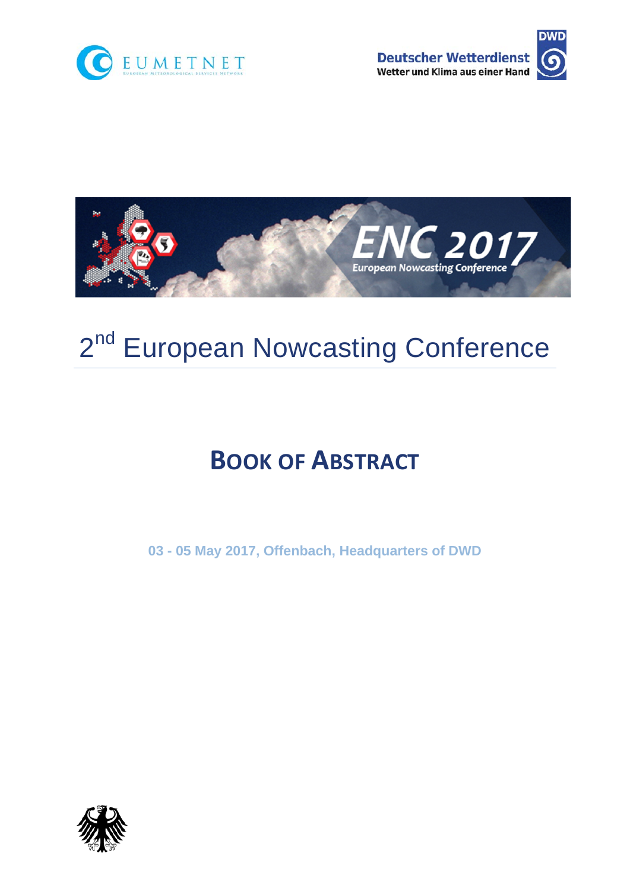





# 2<sup>nd</sup> European Nowcasting Conference

# **BOOK OF ABSTRACT**

**03 - 05 May 2017, Offenbach, Headquarters of DWD** 

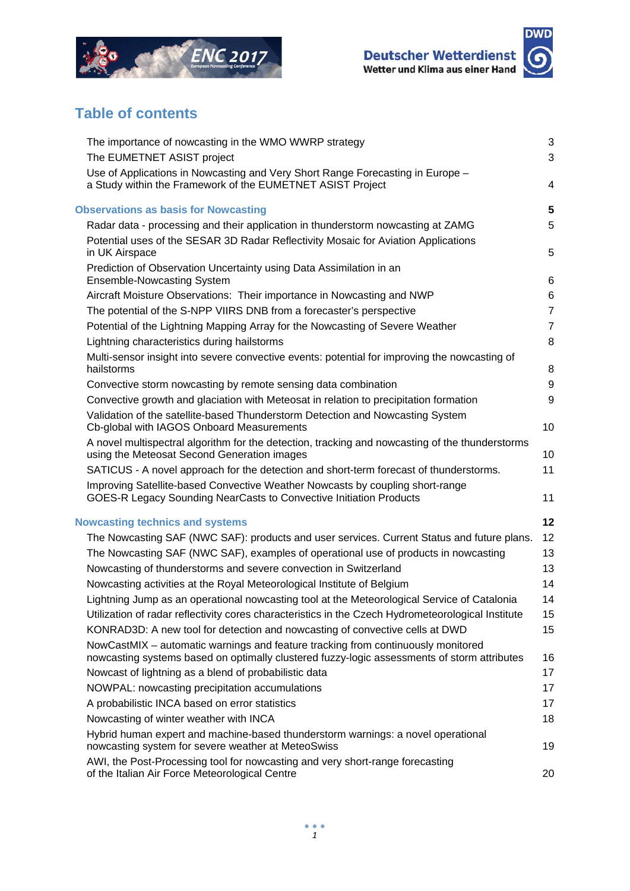



# **Table of contents**

| The importance of nowcasting in the WMO WWRP strategy                                                                                                                           | $\mathbf{3}$   |
|---------------------------------------------------------------------------------------------------------------------------------------------------------------------------------|----------------|
| The EUMETNET ASIST project                                                                                                                                                      | 3              |
| Use of Applications in Nowcasting and Very Short Range Forecasting in Europe -                                                                                                  |                |
| a Study within the Framework of the EUMETNET ASIST Project                                                                                                                      | 4              |
| <b>Observations as basis for Nowcasting</b>                                                                                                                                     | 5              |
| Radar data - processing and their application in thunderstorm nowcasting at ZAMG                                                                                                | 5              |
| Potential uses of the SESAR 3D Radar Reflectivity Mosaic for Aviation Applications                                                                                              |                |
| in UK Airspace                                                                                                                                                                  | 5              |
| Prediction of Observation Uncertainty using Data Assimilation in an                                                                                                             |                |
| <b>Ensemble-Nowcasting System</b>                                                                                                                                               | 6              |
| Aircraft Moisture Observations: Their importance in Nowcasting and NWP                                                                                                          | 6              |
| The potential of the S-NPP VIIRS DNB from a forecaster's perspective                                                                                                            | $\overline{7}$ |
| Potential of the Lightning Mapping Array for the Nowcasting of Severe Weather                                                                                                   | $\overline{7}$ |
| Lightning characteristics during hailstorms                                                                                                                                     | 8              |
| Multi-sensor insight into severe convective events: potential for improving the nowcasting of                                                                                   |                |
| hailstorms                                                                                                                                                                      | $\,8\,$        |
| Convective storm nowcasting by remote sensing data combination                                                                                                                  | 9              |
| Convective growth and glaciation with Meteosat in relation to precipitation formation                                                                                           | 9              |
| Validation of the satellite-based Thunderstorm Detection and Nowcasting System<br>Cb-global with IAGOS Onboard Measurements                                                     | 10             |
| A novel multispectral algorithm for the detection, tracking and nowcasting of the thunderstorms<br>using the Meteosat Second Generation images                                  | 10             |
| SATICUS - A novel approach for the detection and short-term forecast of thunderstorms.                                                                                          | 11             |
| Improving Satellite-based Convective Weather Nowcasts by coupling short-range<br>GOES-R Legacy Sounding NearCasts to Convective Initiation Products                             | 11             |
|                                                                                                                                                                                 |                |
| <b>Nowcasting technics and systems</b>                                                                                                                                          | 12             |
| The Nowcasting SAF (NWC SAF): products and user services. Current Status and future plans.                                                                                      | 12             |
| The Nowcasting SAF (NWC SAF), examples of operational use of products in nowcasting                                                                                             | 13             |
| Nowcasting of thunderstorms and severe convection in Switzerland                                                                                                                | 13             |
| Nowcasting activities at the Royal Meteorological Institute of Belgium                                                                                                          | 14             |
| Lightning Jump as an operational nowcasting tool at the Meteorological Service of Catalonia                                                                                     | 14             |
| Utilization of radar reflectivity cores characteristics in the Czech Hydrometeorological Institute                                                                              | 15             |
| KONRAD3D: A new tool for detection and nowcasting of convective cells at DWD                                                                                                    | 15             |
| NowCastMIX - automatic warnings and feature tracking from continuously monitored<br>nowcasting systems based on optimally clustered fuzzy-logic assessments of storm attributes | 16             |
| Nowcast of lightning as a blend of probabilistic data                                                                                                                           | 17             |
| NOWPAL: nowcasting precipitation accumulations                                                                                                                                  | 17             |
| A probabilistic INCA based on error statistics                                                                                                                                  | 17             |
| Nowcasting of winter weather with INCA                                                                                                                                          | 18             |
| Hybrid human expert and machine-based thunderstorm warnings: a novel operational                                                                                                |                |
| nowcasting system for severe weather at MeteoSwiss                                                                                                                              | 19             |
| AWI, the Post-Processing tool for nowcasting and very short-range forecasting<br>of the Italian Air Force Meteorological Centre                                                 | 20             |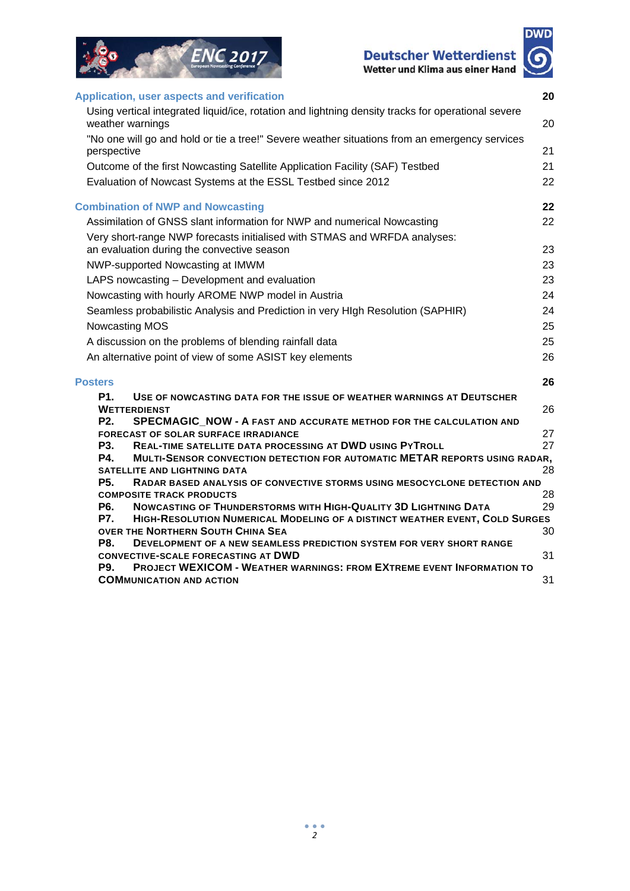



| <b>Application, user aspects and verification</b>                                                                                     | 20 |
|---------------------------------------------------------------------------------------------------------------------------------------|----|
| Using vertical integrated liquid/ice, rotation and lightning density tracks for operational severe<br>weather warnings                | 20 |
| "No one will go and hold or tie a tree!" Severe weather situations from an emergency services<br>perspective                          | 21 |
| Outcome of the first Nowcasting Satellite Application Facility (SAF) Testbed                                                          | 21 |
| Evaluation of Nowcast Systems at the ESSL Testbed since 2012                                                                          | 22 |
| <b>Combination of NWP and Nowcasting</b>                                                                                              | 22 |
| Assimilation of GNSS slant information for NWP and numerical Nowcasting                                                               | 22 |
| Very short-range NWP forecasts initialised with STMAS and WRFDA analyses:                                                             |    |
| an evaluation during the convective season                                                                                            | 23 |
| NWP-supported Nowcasting at IMWM                                                                                                      | 23 |
| LAPS nowcasting - Development and evaluation                                                                                          | 23 |
| Nowcasting with hourly AROME NWP model in Austria                                                                                     | 24 |
| Seamless probabilistic Analysis and Prediction in very HIgh Resolution (SAPHIR)                                                       | 24 |
|                                                                                                                                       | 25 |
| Nowcasting MOS                                                                                                                        |    |
| A discussion on the problems of blending rainfall data                                                                                | 25 |
| An alternative point of view of some ASIST key elements                                                                               | 26 |
| <b>Posters</b>                                                                                                                        | 26 |
| <b>P1.</b><br>USE OF NOWCASTING DATA FOR THE ISSUE OF WEATHER WARNINGS AT DEUTSCHER                                                   |    |
| <b>WETTERDIENST</b><br>P <sub>2</sub> .                                                                                               | 26 |
| SPECMAGIC_NOW - A FAST AND ACCURATE METHOD FOR THE CALCULATION AND<br><b>FORECAST OF SOLAR SURFACE IRRADIANCE</b>                     | 27 |
| <b>P3.</b><br>REAL-TIME SATELLITE DATA PROCESSING AT DWD USING PYTROLL                                                                | 27 |
| <b>P4.</b><br>MULTI-SENSOR CONVECTION DETECTION FOR AUTOMATIC METAR REPORTS USING RADAR,                                              |    |
| <b>SATELLITE AND LIGHTNING DATA</b>                                                                                                   | 28 |
| <b>P5.</b><br>RADAR BASED ANALYSIS OF CONVECTIVE STORMS USING MESOCYCLONE DETECTION AND                                               |    |
| <b>COMPOSITE TRACK PRODUCTS</b>                                                                                                       | 28 |
| <b>P6.</b><br>NOWCASTING OF THUNDERSTORMS WITH HIGH-QUALITY 3D LIGHTNING DATA                                                         | 29 |
| <b>P7.</b><br>HIGH-RESOLUTION NUMERICAL MODELING OF A DISTINCT WEATHER EVENT, COLD SURGES<br><b>OVER THE NORTHERN SOUTH CHINA SEA</b> | 30 |
| <b>P8.</b><br><b>DEVELOPMENT OF A NEW SEAMLESS PREDICTION SYSTEM FOR VERY SHORT RANGE</b>                                             |    |
| <b>CONVECTIVE-SCALE FORECASTING AT DWD</b>                                                                                            | 31 |
| <b>PROJECT WEXICOM - WEATHER WARNINGS: FROM EXTREME EVENT INFORMATION TO</b><br><b>P9.</b>                                            |    |
| <b>COMMUNICATION AND ACTION</b>                                                                                                       | 31 |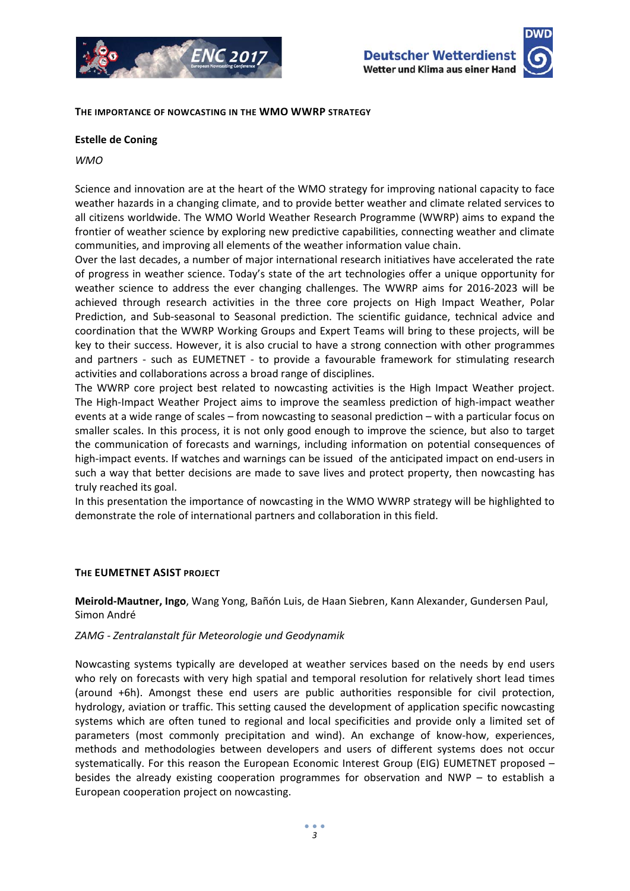





**THE IMPORTANCE OF NOWCASTING IN THE WMO WWRP STRATEGY**

#### **Estelle de Coning**

#### *WMO*

Science and innovation are at the heart of the WMO strategy for improving national capacity to face weather hazards in a changing climate, and to provide better weather and climate related services to all citizens worldwide. The WMO World Weather Research Programme (WWRP) aims to expand the frontier of weather science by exploring new predictive capabilities, connecting weather and climate communities, and improving all elements of the weather information value chain.

Over the last decades, a number of major international research initiatives have accelerated the rate of progress in weather science. Today's state of the art technologies offer a unique opportunity for weather science to address the ever changing challenges. The WWRP aims for 2016‐2023 will be achieved through research activities in the three core projects on High Impact Weather, Polar Prediction, and Sub‐seasonal to Seasonal prediction. The scientific guidance, technical advice and coordination that the WWRP Working Groups and Expert Teams will bring to these projects, will be key to their success. However, it is also crucial to have a strong connection with other programmes and partners - such as EUMETNET - to provide a favourable framework for stimulating research activities and collaborations across a broad range of disciplines.

The WWRP core project best related to nowcasting activities is the High Impact Weather project. The High-Impact Weather Project aims to improve the seamless prediction of high-impact weather events at a wide range of scales – from nowcasting to seasonal prediction – with a particular focus on smaller scales. In this process, it is not only good enough to improve the science, but also to target the communication of forecasts and warnings, including information on potential consequences of high-impact events. If watches and warnings can be issued of the anticipated impact on end-users in such a way that better decisions are made to save lives and protect property, then nowcasting has truly reached its goal.

In this presentation the importance of nowcasting in the WMO WWRP strategy will be highlighted to demonstrate the role of international partners and collaboration in this field.

#### **THE EUMETNET ASIST PROJECT**

**Meirold‐Mautner, Ingo**, Wang Yong, Bañón Luis, de Haan Siebren, Kann Alexander, Gundersen Paul, Simon André

#### *ZAMG ‐ Zentralanstalt für Meteorologie und Geodynamik*

Nowcasting systems typically are developed at weather services based on the needs by end users who rely on forecasts with very high spatial and temporal resolution for relatively short lead times (around +6h). Amongst these end users are public authorities responsible for civil protection, hydrology, aviation or traffic. This setting caused the development of application specific nowcasting systems which are often tuned to regional and local specificities and provide only a limited set of parameters (most commonly precipitation and wind). An exchange of know-how, experiences, methods and methodologies between developers and users of different systems does not occur systematically. For this reason the European Economic Interest Group (EIG) EUMETNET proposed – besides the already existing cooperation programmes for observation and NWP – to establish a European cooperation project on nowcasting.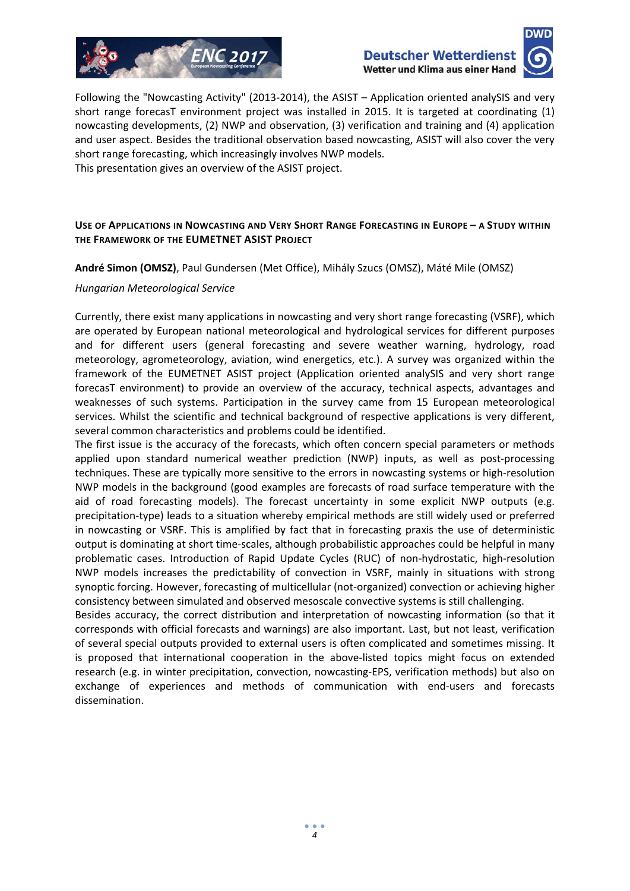



Following the "Nowcasting Activity" (2013-2014), the ASIST – Application oriented analySIS and very short range forecasT environment project was installed in 2015. It is targeted at coordinating (1) nowcasting developments, (2) NWP and observation, (3) verification and training and (4) application and user aspect. Besides the traditional observation based nowcasting, ASIST will also cover the very short range forecasting, which increasingly involves NWP models.

This presentation gives an overview of the ASIST project.

#### **USE OF APPLICATIONS IN NOWCASTING AND VERY SHORT RANGE FORECASTING IN EUROPE – A STUDY WITHIN THE FRAMEWORK OF THE EUMETNET ASIST PROJECT**

**André Simon (OMSZ)**, Paul Gundersen (Met Office), Mihály Szucs (OMSZ), Máté Mile (OMSZ)

#### *Hungarian Meteorological Service*

Currently, there exist many applications in nowcasting and very short range forecasting (VSRF), which are operated by European national meteorological and hydrological services for different purposes and for different users (general forecasting and severe weather warning, hydrology, road meteorology, agrometeorology, aviation, wind energetics, etc.). A survey was organized within the framework of the EUMETNET ASIST project (Application oriented analySIS and very short range forecasT environment) to provide an overview of the accuracy, technical aspects, advantages and weaknesses of such systems. Participation in the survey came from 15 European meteorological services. Whilst the scientific and technical background of respective applications is very different, several common characteristics and problems could be identified.

The first issue is the accuracy of the forecasts, which often concern special parameters or methods applied upon standard numerical weather prediction (NWP) inputs, as well as post-processing techniques. These are typically more sensitive to the errors in nowcasting systems or high‐resolution NWP models in the background (good examples are forecasts of road surface temperature with the aid of road forecasting models). The forecast uncertainty in some explicit NWP outputs (e.g. precipitation‐type) leads to a situation whereby empirical methods are still widely used or preferred in nowcasting or VSRF. This is amplified by fact that in forecasting praxis the use of deterministic output is dominating at short time‐scales, although probabilistic approaches could be helpful in many problematic cases. Introduction of Rapid Update Cycles (RUC) of non-hydrostatic, high-resolution NWP models increases the predictability of convection in VSRF, mainly in situations with strong synoptic forcing. However, forecasting of multicellular (not‐organized) convection or achieving higher consistency between simulated and observed mesoscale convective systems is still challenging.

Besides accuracy, the correct distribution and interpretation of nowcasting information (so that it corresponds with official forecasts and warnings) are also important. Last, but not least, verification of several special outputs provided to external users is often complicated and sometimes missing. It is proposed that international cooperation in the above-listed topics might focus on extended research (e.g. in winter precipitation, convection, nowcasting‐EPS, verification methods) but also on exchange of experiences and methods of communication with end‐users and forecasts dissemination.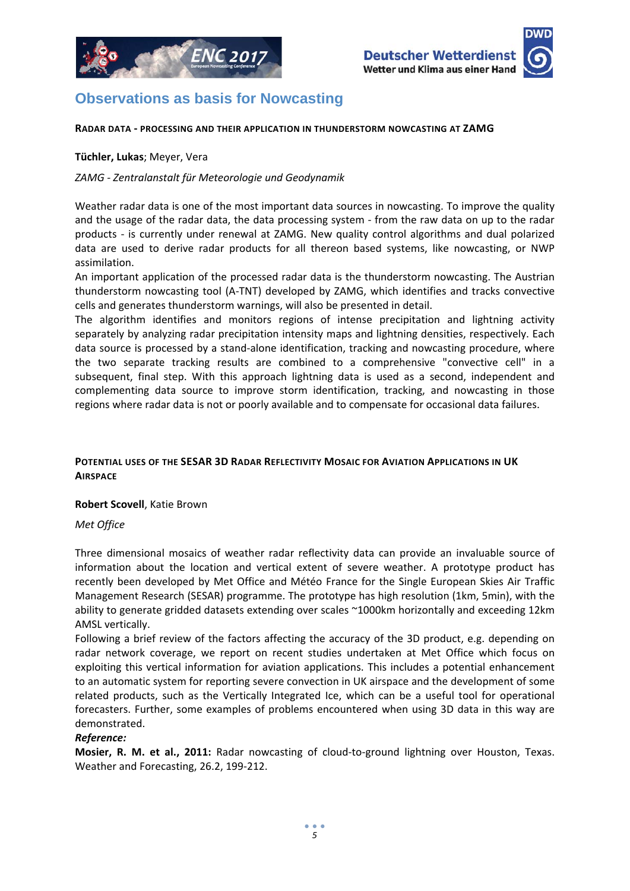

# **Observations as basis for Nowcasting**

#### **RADAR DATA ‐ PROCESSING AND THEIR APPLICATION IN THUNDERSTORM NOWCASTING AT ZAMG**

#### **Tüchler, Lukas**; Meyer, Vera

#### *ZAMG ‐ Zentralanstalt für Meteorologie und Geodynamik*

Weather radar data is one of the most important data sources in nowcasting. To improve the quality and the usage of the radar data, the data processing system ‐ from the raw data on up to the radar products ‐ is currently under renewal at ZAMG. New quality control algorithms and dual polarized data are used to derive radar products for all thereon based systems, like nowcasting, or NWP assimilation.

An important application of the processed radar data is the thunderstorm nowcasting. The Austrian thunderstorm nowcasting tool (A‐TNT) developed by ZAMG, which identifies and tracks convective cells and generates thunderstorm warnings, will also be presented in detail.

The algorithm identifies and monitors regions of intense precipitation and lightning activity separately by analyzing radar precipitation intensity maps and lightning densities, respectively. Each data source is processed by a stand‐alone identification, tracking and nowcasting procedure, where the two separate tracking results are combined to a comprehensive "convective cell" in a subsequent, final step. With this approach lightning data is used as a second, independent and complementing data source to improve storm identification, tracking, and nowcasting in those regions where radar data is not or poorly available and to compensate for occasional data failures.

### **POTENTIAL USES OF THE SESAR 3D RADAR REFLECTIVITY MOSAIC FOR AVIATION APPLICATIONS IN UK AIRSPACE**

#### **Robert Scovell**, Katie Brown

*Met Office*

Three dimensional mosaics of weather radar reflectivity data can provide an invaluable source of information about the location and vertical extent of severe weather. A prototype product has recently been developed by Met Office and Météo France for the Single European Skies Air Traffic Management Research (SESAR) programme. The prototype has high resolution (1km, 5min), with the ability to generate gridded datasets extending over scales ~1000km horizontally and exceeding 12km AMSL vertically.

Following a brief review of the factors affecting the accuracy of the 3D product, e.g. depending on radar network coverage, we report on recent studies undertaken at Met Office which focus on exploiting this vertical information for aviation applications. This includes a potential enhancement to an automatic system for reporting severe convection in UK airspace and the development of some related products, such as the Vertically Integrated Ice, which can be a useful tool for operational forecasters. Further, some examples of problems encountered when using 3D data in this way are demonstrated.

#### *Reference:*

**Mosier, R. M. et al., 2011:** Radar nowcasting of cloud‐to‐ground lightning over Houston, Texas. Weather and Forecasting, 26.2, 199‐212.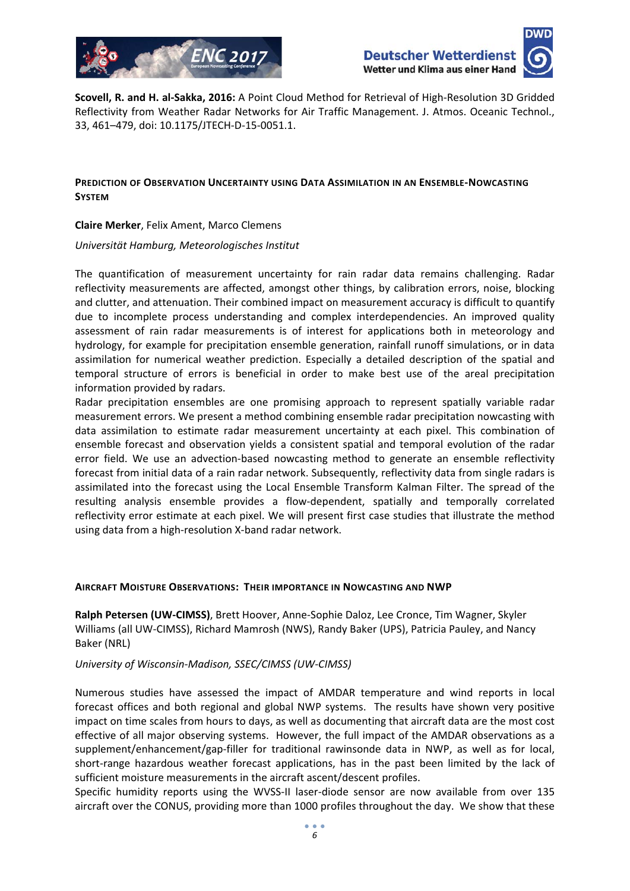



**Scovell, R. and H. al‐Sakka, 2016:** A Point Cloud Method for Retrieval of High‐Resolution 3D Gridded Reflectivity from Weather Radar Networks for Air Traffic Management. J. Atmos. Oceanic Technol., 33, 461–479, doi: 10.1175/JTECH‐D‐15‐0051.1.

#### **PREDICTION OF OBSERVATION UNCERTAINTY USING DATA ASSIMILATION IN AN ENSEMBLE‐NOWCASTING SYSTEM**

**Claire Merker**, Felix Ament, Marco Clemens

*Universität Hamburg, Meteorologisches Institut*

The quantification of measurement uncertainty for rain radar data remains challenging. Radar reflectivity measurements are affected, amongst other things, by calibration errors, noise, blocking and clutter, and attenuation. Their combined impact on measurement accuracy is difficult to quantify due to incomplete process understanding and complex interdependencies. An improved quality assessment of rain radar measurements is of interest for applications both in meteorology and hydrology, for example for precipitation ensemble generation, rainfall runoff simulations, or in data assimilation for numerical weather prediction. Especially a detailed description of the spatial and temporal structure of errors is beneficial in order to make best use of the areal precipitation information provided by radars.

Radar precipitation ensembles are one promising approach to represent spatially variable radar measurement errors. We present a method combining ensemble radar precipitation nowcasting with data assimilation to estimate radar measurement uncertainty at each pixel. This combination of ensemble forecast and observation yields a consistent spatial and temporal evolution of the radar error field. We use an advection-based nowcasting method to generate an ensemble reflectivity forecast from initial data of a rain radar network. Subsequently, reflectivity data from single radars is assimilated into the forecast using the Local Ensemble Transform Kalman Filter. The spread of the resulting analysis ensemble provides a flow‐dependent, spatially and temporally correlated reflectivity error estimate at each pixel. We will present first case studies that illustrate the method using data from a high‐resolution X‐band radar network.

#### **AIRCRAFT MOISTURE OBSERVATIONS: THEIR IMPORTANCE IN NOWCASTING AND NWP**

**Ralph Petersen (UW‐CIMSS)**, Brett Hoover, Anne‐Sophie Daloz, Lee Cronce, Tim Wagner, Skyler Williams (all UW‐CIMSS), Richard Mamrosh (NWS), Randy Baker (UPS), Patricia Pauley, and Nancy Baker (NRL)

#### *University of Wisconsin‐Madison, SSEC/CIMSS (UW‐CIMSS)*

Numerous studies have assessed the impact of AMDAR temperature and wind reports in local forecast offices and both regional and global NWP systems. The results have shown very positive impact on time scales from hours to days, as well as documenting that aircraft data are the most cost effective of all major observing systems. However, the full impact of the AMDAR observations as a supplement/enhancement/gap‐filler for traditional rawinsonde data in NWP, as well as for local, short-range hazardous weather forecast applications, has in the past been limited by the lack of sufficient moisture measurements in the aircraft ascent/descent profiles.

Specific humidity reports using the WVSS‐II laser‐diode sensor are now available from over 135 aircraft over the CONUS, providing more than 1000 profiles throughout the day. We show that these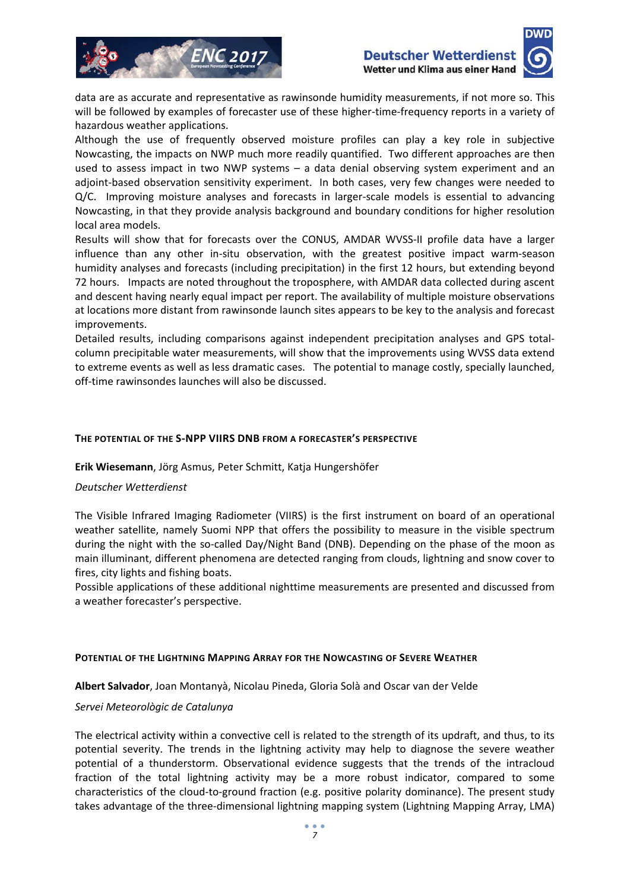



data are as accurate and representative as rawinsonde humidity measurements, if not more so. This will be followed by examples of forecaster use of these higher-time-frequency reports in a variety of hazardous weather applications.

Although the use of frequently observed moisture profiles can play a key role in subjective Nowcasting, the impacts on NWP much more readily quantified. Two different approaches are then used to assess impact in two NWP systems  $-$  a data denial observing system experiment and an adjoint-based observation sensitivity experiment. In both cases, very few changes were needed to Q/C. Improving moisture analyses and forecasts in larger-scale models is essential to advancing Nowcasting, in that they provide analysis background and boundary conditions for higher resolution local area models.

Results will show that for forecasts over the CONUS, AMDAR WVSS-II profile data have a larger influence than any other in-situ observation, with the greatest positive impact warm-season humidity analyses and forecasts (including precipitation) in the first 12 hours, but extending beyond 72 hours. Impacts are noted throughout the troposphere, with AMDAR data collected during ascent and descent having nearly equal impact per report. The availability of multiple moisture observations at locations more distant from rawinsonde launch sites appears to be key to the analysis and forecast improvements.

Detailed results, including comparisons against independent precipitation analyses and GPS total‐ column precipitable water measurements, will show that the improvements using WVSS data extend to extreme events as well as less dramatic cases. The potential to manage costly, specially launched, off-time rawinsondes launches will also be discussed.

#### **THE POTENTIAL OF THE S‐NPP VIIRS DNB FROM A FORECASTER'S PERSPECTIVE**

**Erik Wiesemann**, Jörg Asmus, Peter Schmitt, Katja Hungershöfer

#### *Deutscher Wetterdienst*

The Visible Infrared Imaging Radiometer (VIIRS) is the first instrument on board of an operational weather satellite, namely Suomi NPP that offers the possibility to measure in the visible spectrum during the night with the so-called Day/Night Band (DNB). Depending on the phase of the moon as main illuminant, different phenomena are detected ranging from clouds, lightning and snow cover to fires, city lights and fishing boats.

Possible applications of these additional nighttime measurements are presented and discussed from a weather forecaster's perspective.

#### **POTENTIAL OF THE LIGHTNING MAPPING ARRAY FOR THE NOWCASTING OF SEVERE WEATHER**

**Albert Salvador**, Joan Montanyà, Nicolau Pineda, Gloria Solà and Oscar van der Velde

#### *Servei Meteorològic de Catalunya*

The electrical activity within a convective cell is related to the strength of its updraft, and thus, to its potential severity. The trends in the lightning activity may help to diagnose the severe weather potential of a thunderstorm. Observational evidence suggests that the trends of the intracloud fraction of the total lightning activity may be a more robust indicator, compared to some characteristics of the cloud‐to‐ground fraction (e.g. positive polarity dominance). The present study takes advantage of the three‐dimensional lightning mapping system (Lightning Mapping Array, LMA)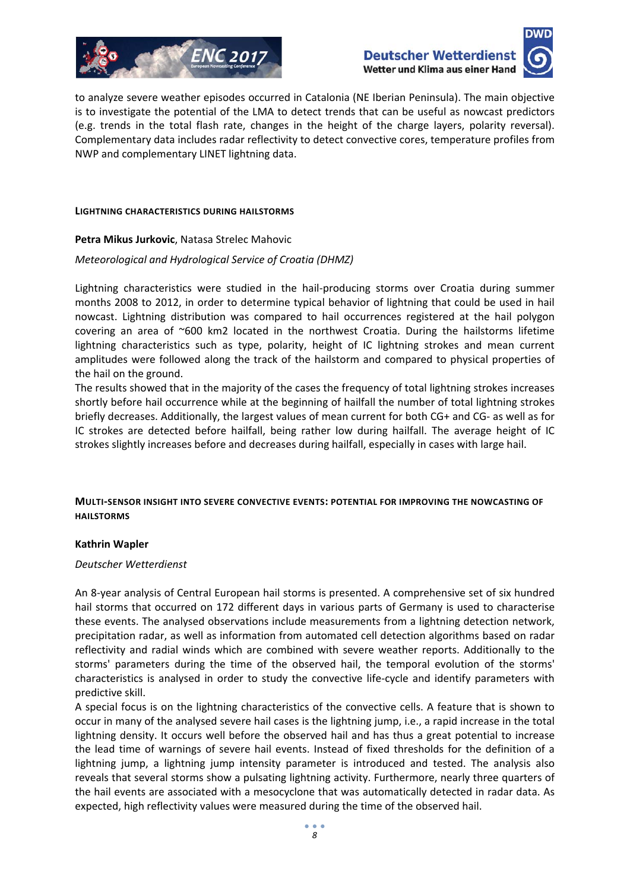



to analyze severe weather episodes occurred in Catalonia (NE Iberian Peninsula). The main objective is to investigate the potential of the LMA to detect trends that can be useful as nowcast predictors (e.g. trends in the total flash rate, changes in the height of the charge layers, polarity reversal). Complementary data includes radar reflectivity to detect convective cores, temperature profiles from NWP and complementary LINET lightning data.

#### **LIGHTNING CHARACTERISTICS DURING HAILSTORMS**

**Petra Mikus Jurkovic**, Natasa Strelec Mahovic

#### *Meteorological and Hydrological Service of Croatia (DHMZ)*

Lightning characteristics were studied in the hail‐producing storms over Croatia during summer months 2008 to 2012, in order to determine typical behavior of lightning that could be used in hail nowcast. Lightning distribution was compared to hail occurrences registered at the hail polygon covering an area of ~600 km2 located in the northwest Croatia. During the hailstorms lifetime lightning characteristics such as type, polarity, height of IC lightning strokes and mean current amplitudes were followed along the track of the hailstorm and compared to physical properties of the hail on the ground.

The results showed that in the majority of the cases the frequency of total lightning strokes increases shortly before hail occurrence while at the beginning of hailfall the number of total lightning strokes briefly decreases. Additionally, the largest values of mean current for both CG+ and CG‐ as well as for IC strokes are detected before hailfall, being rather low during hailfall. The average height of IC strokes slightly increases before and decreases during hailfall, especially in cases with large hail.

#### **MULTI‐SENSOR INSIGHT INTO SEVERE CONVECTIVE EVENTS: POTENTIAL FOR IMPROVING THE NOWCASTING OF HAILSTORMS**

#### **Kathrin Wapler**

#### *Deutscher Wetterdienst*

An 8‐year analysis of Central European hail storms is presented. A comprehensive set of six hundred hail storms that occurred on 172 different days in various parts of Germany is used to characterise these events. The analysed observations include measurements from a lightning detection network, precipitation radar, as well as information from automated cell detection algorithms based on radar reflectivity and radial winds which are combined with severe weather reports. Additionally to the storms' parameters during the time of the observed hail, the temporal evolution of the storms' characteristics is analysed in order to study the convective life‐cycle and identify parameters with predictive skill.

A special focus is on the lightning characteristics of the convective cells. A feature that is shown to occur in many of the analysed severe hail cases is the lightning jump, i.e., a rapid increase in the total lightning density. It occurs well before the observed hail and has thus a great potential to increase the lead time of warnings of severe hail events. Instead of fixed thresholds for the definition of a lightning jump, a lightning jump intensity parameter is introduced and tested. The analysis also reveals that several storms show a pulsating lightning activity. Furthermore, nearly three quarters of the hail events are associated with a mesocyclone that was automatically detected in radar data. As expected, high reflectivity values were measured during the time of the observed hail.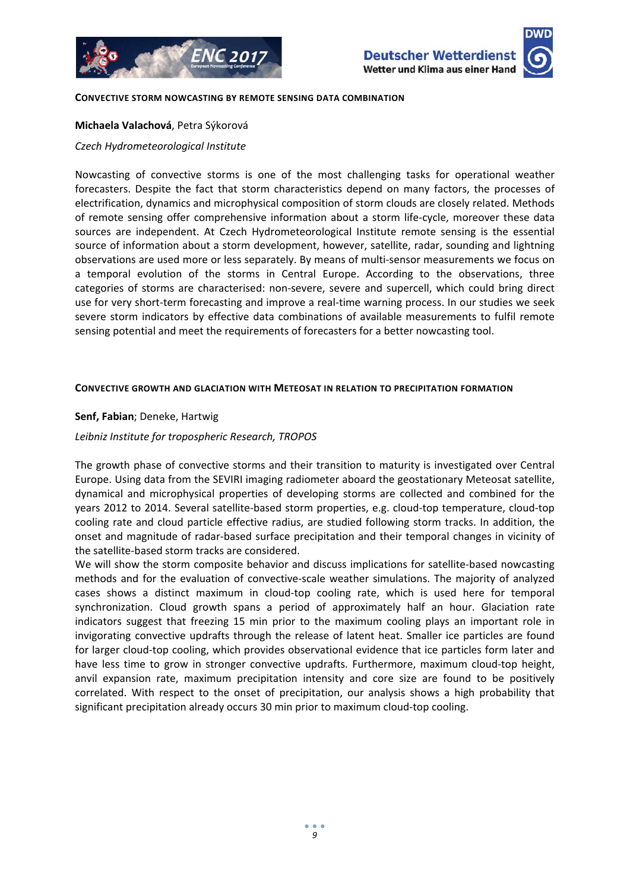

#### **CONVECTIVE STORM NOWCASTING BY REMOTE SENSING DATA COMBINATION**

#### **Michaela Valachová**, Petra Sýkorová

*Czech Hydrometeorological Institute*

Nowcasting of convective storms is one of the most challenging tasks for operational weather forecasters. Despite the fact that storm characteristics depend on many factors, the processes of electrification, dynamics and microphysical composition of storm clouds are closely related. Methods of remote sensing offer comprehensive information about a storm life‐cycle, moreover these data sources are independent. At Czech Hydrometeorological Institute remote sensing is the essential source of information about a storm development, however, satellite, radar, sounding and lightning observations are used more or less separately. By means of multi‐sensor measurements we focus on a temporal evolution of the storms in Central Europe. According to the observations, three categories of storms are characterised: non‐severe, severe and supercell, which could bring direct use for very short-term forecasting and improve a real-time warning process. In our studies we seek severe storm indicators by effective data combinations of available measurements to fulfil remote sensing potential and meet the requirements of forecasters for a better nowcasting tool.

#### **CONVECTIVE GROWTH AND GLACIATION WITH METEOSAT IN RELATION TO PRECIPITATION FORMATION**

#### **Senf, Fabian**; Deneke, Hartwig

#### *Leibniz Institute for tropospheric Research, TROPOS*

The growth phase of convective storms and their transition to maturity is investigated over Central Europe. Using data from the SEVIRI imaging radiometer aboard the geostationary Meteosat satellite, dynamical and microphysical properties of developing storms are collected and combined for the years 2012 to 2014. Several satellite‐based storm properties, e.g. cloud‐top temperature, cloud‐top cooling rate and cloud particle effective radius, are studied following storm tracks. In addition, the onset and magnitude of radar‐based surface precipitation and their temporal changes in vicinity of the satellite‐based storm tracks are considered.

We will show the storm composite behavior and discuss implications for satellite-based nowcasting methods and for the evaluation of convective‐scale weather simulations. The majority of analyzed cases shows a distinct maximum in cloud‐top cooling rate, which is used here for temporal synchronization. Cloud growth spans a period of approximately half an hour. Glaciation rate indicators suggest that freezing 15 min prior to the maximum cooling plays an important role in invigorating convective updrafts through the release of latent heat. Smaller ice particles are found for larger cloud-top cooling, which provides observational evidence that ice particles form later and have less time to grow in stronger convective updrafts. Furthermore, maximum cloud-top height, anvil expansion rate, maximum precipitation intensity and core size are found to be positively correlated. With respect to the onset of precipitation, our analysis shows a high probability that significant precipitation already occurs 30 min prior to maximum cloud‐top cooling.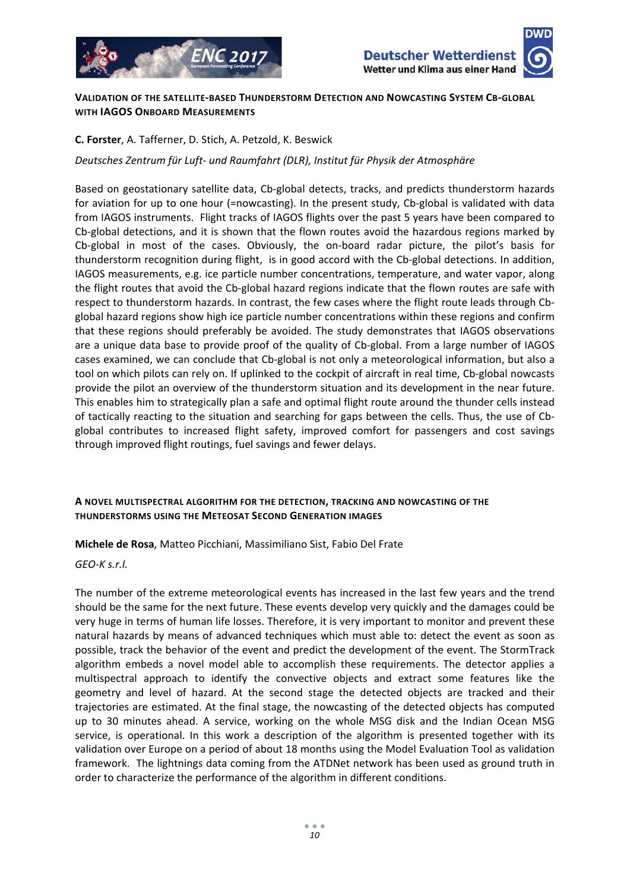



#### **VALIDATION OF THE SATELLITE‐BASED THUNDERSTORM DETECTION AND NOWCASTING SYSTEM CB‐GLOBAL WITH IAGOS ONBOARD MEASUREMENTS**

#### **C. Forster**, A. Tafferner, D. Stich, A. Petzold, K. Beswick

*Deutsches Zentrum für Luft‐ und Raumfahrt (DLR), Institut für Physik der Atmosphäre*

Based on geostationary satellite data, Cb‐global detects, tracks, and predicts thunderstorm hazards for aviation for up to one hour (=nowcasting). In the present study, Cb-global is validated with data from IAGOS instruments. Flight tracks of IAGOS flights over the past 5 years have been compared to Cb‐global detections, and it is shown that the flown routes avoid the hazardous regions marked by Cb‐global in most of the cases. Obviously, the on‐board radar picture, the pilot's basis for thunderstorm recognition during flight, is in good accord with the Cb‐global detections. In addition, IAGOS measurements, e.g. ice particle number concentrations, temperature, and water vapor, along the flight routes that avoid the Cb‐global hazard regions indicate that the flown routes are safe with respect to thunderstorm hazards. In contrast, the few cases where the flight route leads through Cb‐ global hazard regions show high ice particle number concentrations within these regions and confirm that these regions should preferably be avoided. The study demonstrates that IAGOS observations are a unique data base to provide proof of the quality of Cb-global. From a large number of IAGOS cases examined, we can conclude that Cb‐global is not only a meteorological information, but also a tool on which pilots can rely on. If uplinked to the cockpit of aircraft in real time, Cb‐global nowcasts provide the pilot an overview of the thunderstorm situation and its development in the near future. This enables him to strategically plan a safe and optimal flight route around the thunder cells instead of tactically reacting to the situation and searching for gaps between the cells. Thus, the use of Cb‐ global contributes to increased flight safety, improved comfort for passengers and cost savings through improved flight routings, fuel savings and fewer delays.

#### **A NOVEL MULTISPECTRAL ALGORITHM FOR THE DETECTION, TRACKING AND NOWCASTING OF THE THUNDERSTORMS USING THE METEOSAT SECOND GENERATION IMAGES**

**Michele de Rosa**, Matteo Picchiani, Massimiliano Sist, Fabio Del Frate

*GEO‐K s.r.l.*

The number of the extreme meteorological events has increased in the last few years and the trend should be the same for the next future. These events develop very quickly and the damages could be very huge in terms of human life losses. Therefore, it is very important to monitor and prevent these natural hazards by means of advanced techniques which must able to: detect the event as soon as possible, track the behavior of the event and predict the development of the event. The StormTrack algorithm embeds a novel model able to accomplish these requirements. The detector applies a multispectral approach to identify the convective objects and extract some features like the geometry and level of hazard. At the second stage the detected objects are tracked and their trajectories are estimated. At the final stage, the nowcasting of the detected objects has computed up to 30 minutes ahead. A service, working on the whole MSG disk and the Indian Ocean MSG service, is operational. In this work a description of the algorithm is presented together with its validation over Europe on a period of about 18 months using the Model Evaluation Tool as validation framework. The lightnings data coming from the ATDNet network has been used as ground truth in order to characterize the performance of the algorithm in different conditions.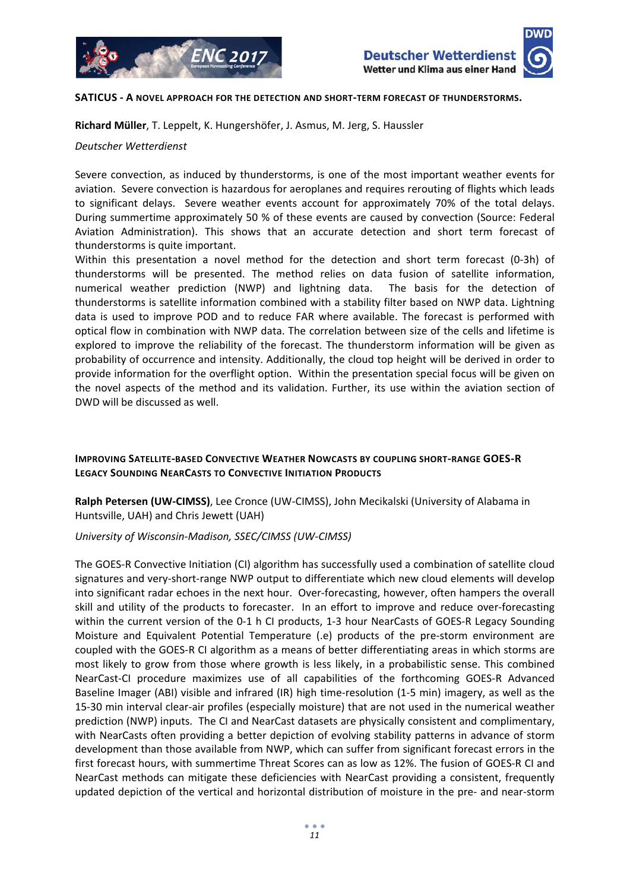

#### **SATICUS ‐ A NOVEL APPROACH FOR THE DETECTION AND SHORT‐TERM FORECAST OF THUNDERSTORMS.**

**Richard Müller**, T. Leppelt, K. Hungershöfer, J. Asmus, M. Jerg, S. Haussler

*Deutscher Wetterdienst*

Severe convection, as induced by thunderstorms, is one of the most important weather events for aviation. Severe convection is hazardous for aeroplanes and requires rerouting of flights which leads to significant delays. Severe weather events account for approximately 70% of the total delays. During summertime approximately 50 % of these events are caused by convection (Source: Federal Aviation Administration). This shows that an accurate detection and short term forecast of thunderstorms is quite important.

Within this presentation a novel method for the detection and short term forecast (0‐3h) of thunderstorms will be presented. The method relies on data fusion of satellite information, numerical weather prediction (NWP) and lightning data. The basis for the detection of thunderstorms is satellite information combined with a stability filter based on NWP data. Lightning data is used to improve POD and to reduce FAR where available. The forecast is performed with optical flow in combination with NWP data. The correlation between size of the cells and lifetime is explored to improve the reliability of the forecast. The thunderstorm information will be given as probability of occurrence and intensity. Additionally, the cloud top height will be derived in order to provide information for the overflight option. Within the presentation special focus will be given on the novel aspects of the method and its validation. Further, its use within the aviation section of DWD will be discussed as well.

#### **IMPROVING SATELLITE‐BASED CONVECTIVE WEATHER NOWCASTS BY COUPLING SHORT‐RANGE GOES‐R LEGACY SOUNDING NEARCASTS TO CONVECTIVE INITIATION PRODUCTS**

**Ralph Petersen (UW‐CIMSS)**, Lee Cronce (UW‐CIMSS), John Mecikalski (University of Alabama in Huntsville, UAH) and Chris Jewett (UAH)

#### *University of Wisconsin‐Madison, SSEC/CIMSS (UW‐CIMSS)*

The GOES‐R Convective Initiation (CI) algorithm has successfully used a combination of satellite cloud signatures and very-short-range NWP output to differentiate which new cloud elements will develop into significant radar echoes in the next hour. Over-forecasting, however, often hampers the overall skill and utility of the products to forecaster. In an effort to improve and reduce over-forecasting within the current version of the 0-1 h CI products, 1-3 hour NearCasts of GOES-R Legacy Sounding Moisture and Equivalent Potential Temperature (.e) products of the pre‐storm environment are coupled with the GOES‐R CI algorithm as a means of better differentiating areas in which storms are most likely to grow from those where growth is less likely, in a probabilistic sense. This combined NearCast‐CI procedure maximizes use of all capabilities of the forthcoming GOES‐R Advanced Baseline Imager (ABI) visible and infrared (IR) high time‐resolution (1‐5 min) imagery, as well as the 15‐30 min interval clear‐air profiles (especially moisture) that are not used in the numerical weather prediction (NWP) inputs. The CI and NearCast datasets are physically consistent and complimentary, with NearCasts often providing a better depiction of evolving stability patterns in advance of storm development than those available from NWP, which can suffer from significant forecast errors in the first forecast hours, with summertime Threat Scores can as low as 12%. The fusion of GOES‐R CI and NearCast methods can mitigate these deficiencies with NearCast providing a consistent, frequently updated depiction of the vertical and horizontal distribution of moisture in the pre‐ and near‐storm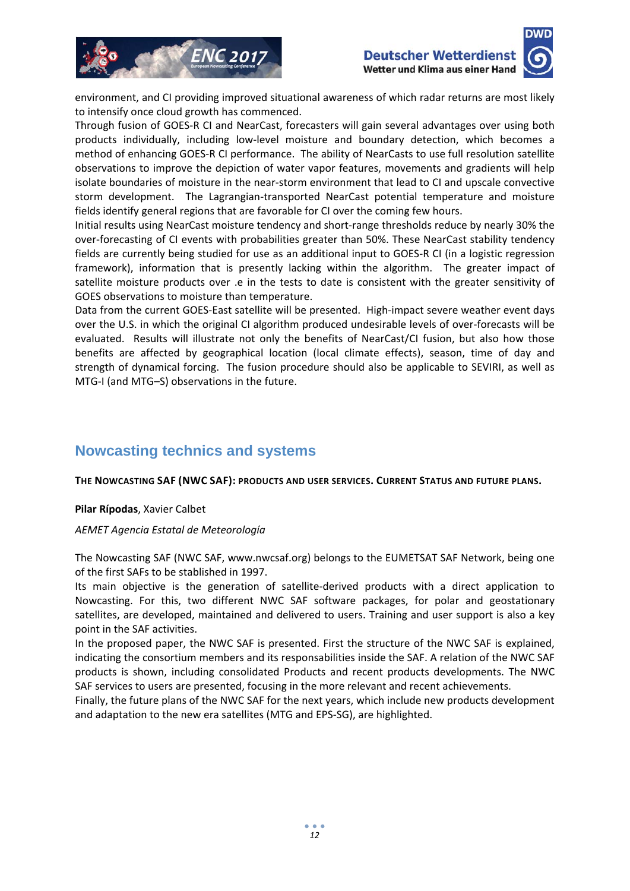



environment, and CI providing improved situational awareness of which radar returns are most likely to intensify once cloud growth has commenced.

Through fusion of GOES‐R CI and NearCast, forecasters will gain several advantages over using both products individually, including low‐level moisture and boundary detection, which becomes a method of enhancing GOES‐R CI performance. The ability of NearCasts to use full resolution satellite observations to improve the depiction of water vapor features, movements and gradients will help isolate boundaries of moisture in the near‐storm environment that lead to CI and upscale convective storm development. The Lagrangian-transported NearCast potential temperature and moisture fields identify general regions that are favorable for CI over the coming few hours.

Initial results using NearCast moisture tendency and short‐range thresholds reduce by nearly 30% the over-forecasting of CI events with probabilities greater than 50%. These NearCast stability tendency fields are currently being studied for use as an additional input to GOES‐R CI (in a logistic regression framework), information that is presently lacking within the algorithm. The greater impact of satellite moisture products over .e in the tests to date is consistent with the greater sensitivity of GOES observations to moisture than temperature.

Data from the current GOES-East satellite will be presented. High-impact severe weather event days over the U.S. in which the original CI algorithm produced undesirable levels of over‐forecasts will be evaluated. Results will illustrate not only the benefits of NearCast/CI fusion, but also how those benefits are affected by geographical location (local climate effects), season, time of day and strength of dynamical forcing. The fusion procedure should also be applicable to SEVIRI, as well as MTG‐I (and MTG–S) observations in the future.

# **Nowcasting technics and systems**

#### **THE NOWCASTING SAF (NWC SAF): PRODUCTS AND USER SERVICES. CURRENT STATUS AND FUTURE PLANS.**

#### **Pilar Rípodas**, Xavier Calbet

#### *AEMET Agencia Estatal de Meteorología*

The Nowcasting SAF (NWC SAF, www.nwcsaf.org) belongs to the EUMETSAT SAF Network, being one of the first SAFs to be stablished in 1997.

Its main objective is the generation of satellite-derived products with a direct application to Nowcasting. For this, two different NWC SAF software packages, for polar and geostationary satellites, are developed, maintained and delivered to users. Training and user support is also a key point in the SAF activities.

In the proposed paper, the NWC SAF is presented. First the structure of the NWC SAF is explained, indicating the consortium members and its responsabilities inside the SAF. A relation of the NWC SAF products is shown, including consolidated Products and recent products developments. The NWC SAF services to users are presented, focusing in the more relevant and recent achievements.

Finally, the future plans of the NWC SAF for the next years, which include new products development and adaptation to the new era satellites (MTG and EPS‐SG), are highlighted.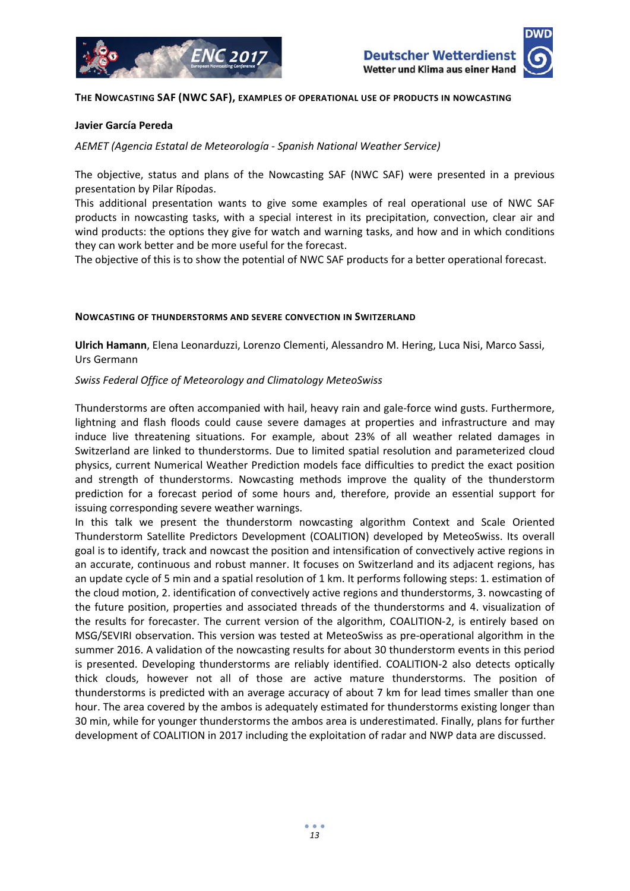

#### **THE NOWCASTING SAF (NWC SAF), EXAMPLES OF OPERATIONAL USE OF PRODUCTS IN NOWCASTING**

#### **Javier García Pereda**

*AEMET (Agencia Estatal de Meteorología ‐ Spanish National Weather Service)*

The objective, status and plans of the Nowcasting SAF (NWC SAF) were presented in a previous presentation by Pilar Rípodas.

This additional presentation wants to give some examples of real operational use of NWC SAF products in nowcasting tasks, with a special interest in its precipitation, convection, clear air and wind products: the options they give for watch and warning tasks, and how and in which conditions they can work better and be more useful for the forecast.

The objective of this is to show the potential of NWC SAF products for a better operational forecast.

#### **NOWCASTING OF THUNDERSTORMS AND SEVERE CONVECTION IN SWITZERLAND**

**Ulrich Hamann**, Elena Leonarduzzi, Lorenzo Clementi, Alessandro M. Hering, Luca Nisi, Marco Sassi, Urs Germann

#### *Swiss Federal Office of Meteorology and Climatology MeteoSwiss*

Thunderstorms are often accompanied with hail, heavy rain and gale‐force wind gusts. Furthermore, lightning and flash floods could cause severe damages at properties and infrastructure and may induce live threatening situations. For example, about 23% of all weather related damages in Switzerland are linked to thunderstorms. Due to limited spatial resolution and parameterized cloud physics, current Numerical Weather Prediction models face difficulties to predict the exact position and strength of thunderstorms. Nowcasting methods improve the quality of the thunderstorm prediction for a forecast period of some hours and, therefore, provide an essential support for issuing corresponding severe weather warnings.

In this talk we present the thunderstorm nowcasting algorithm Context and Scale Oriented Thunderstorm Satellite Predictors Development (COALITION) developed by MeteoSwiss. Its overall goal is to identify, track and nowcast the position and intensification of convectively active regions in an accurate, continuous and robust manner. It focuses on Switzerland and its adjacent regions, has an update cycle of 5 min and a spatial resolution of 1 km. It performs following steps: 1. estimation of the cloud motion, 2. identification of convectively active regions and thunderstorms, 3. nowcasting of the future position, properties and associated threads of the thunderstorms and 4. visualization of the results for forecaster. The current version of the algorithm, COALITION-2, is entirely based on MSG/SEVIRI observation. This version was tested at MeteoSwiss as pre‐operational algorithm in the summer 2016. A validation of the nowcasting results for about 30 thunderstorm events in this period is presented. Developing thunderstorms are reliably identified. COALITION‐2 also detects optically thick clouds, however not all of those are active mature thunderstorms. The position of thunderstorms is predicted with an average accuracy of about 7 km for lead times smaller than one hour. The area covered by the ambos is adequately estimated for thunderstorms existing longer than 30 min, while for younger thunderstorms the ambos area is underestimated. Finally, plans for further development of COALITION in 2017 including the exploitation of radar and NWP data are discussed.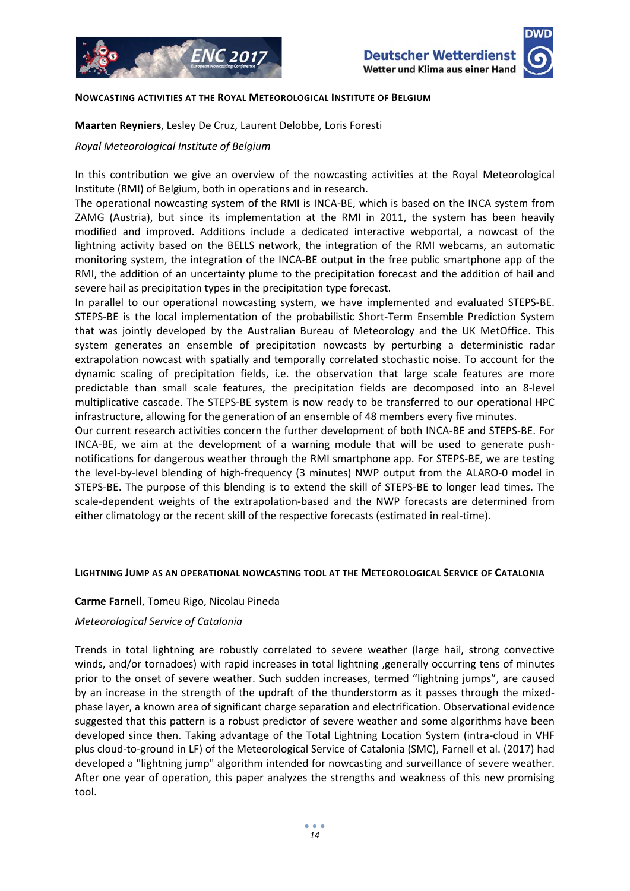



#### **NOWCASTING ACTIVITIES AT THE ROYAL METEOROLOGICAL INSTITUTE OF BELGIUM**

**Maarten Reyniers**, Lesley De Cruz, Laurent Delobbe, Loris Foresti

#### *Royal Meteorological Institute of Belgium*

In this contribution we give an overview of the nowcasting activities at the Royal Meteorological Institute (RMI) of Belgium, both in operations and in research.

The operational nowcasting system of the RMI is INCA‐BE, which is based on the INCA system from ZAMG (Austria), but since its implementation at the RMI in 2011, the system has been heavily modified and improved. Additions include a dedicated interactive webportal, a nowcast of the lightning activity based on the BELLS network, the integration of the RMI webcams, an automatic monitoring system, the integration of the INCA‐BE output in the free public smartphone app of the RMI, the addition of an uncertainty plume to the precipitation forecast and the addition of hail and severe hail as precipitation types in the precipitation type forecast.

In parallel to our operational nowcasting system, we have implemented and evaluated STEPS‐BE. STEPS‐BE is the local implementation of the probabilistic Short‐Term Ensemble Prediction System that was jointly developed by the Australian Bureau of Meteorology and the UK MetOffice. This system generates an ensemble of precipitation nowcasts by perturbing a deterministic radar extrapolation nowcast with spatially and temporally correlated stochastic noise. To account for the dynamic scaling of precipitation fields, i.e. the observation that large scale features are more predictable than small scale features, the precipitation fields are decomposed into an 8‐level multiplicative cascade. The STEPS‐BE system is now ready to be transferred to our operational HPC infrastructure, allowing for the generation of an ensemble of 48 members every five minutes.

Our current research activities concern the further development of both INCA‐BE and STEPS‐BE. For INCA‐BE, we aim at the development of a warning module that will be used to generate push‐ notifications for dangerous weather through the RMI smartphone app. For STEPS‐BE, we are testing the level-by-level blending of high-frequency (3 minutes) NWP output from the ALARO-0 model in STEPS‐BE. The purpose of this blending is to extend the skill of STEPS‐BE to longer lead times. The scale-dependent weights of the extrapolation-based and the NWP forecasts are determined from either climatology or the recent skill of the respective forecasts (estimated in real-time).

#### **LIGHTNING JUMP AS AN OPERATIONAL NOWCASTING TOOL AT THE METEOROLOGICAL SERVICE OF CATALONIA**

#### **Carme Farnell**, Tomeu Rigo, Nicolau Pineda

#### *Meteorological Service of Catalonia*

Trends in total lightning are robustly correlated to severe weather (large hail, strong convective winds, and/or tornadoes) with rapid increases in total lightning , generally occurring tens of minutes prior to the onset of severe weather. Such sudden increases, termed "lightning jumps", are caused by an increase in the strength of the updraft of the thunderstorm as it passes through the mixedphase layer, a known area of significant charge separation and electrification. Observational evidence suggested that this pattern is a robust predictor of severe weather and some algorithms have been developed since then. Taking advantage of the Total Lightning Location System (intra‐cloud in VHF plus cloud‐to‐ground in LF) of the Meteorological Service of Catalonia (SMC), Farnell et al. (2017) had developed a "lightning jump" algorithm intended for nowcasting and surveillance of severe weather. After one year of operation, this paper analyzes the strengths and weakness of this new promising tool.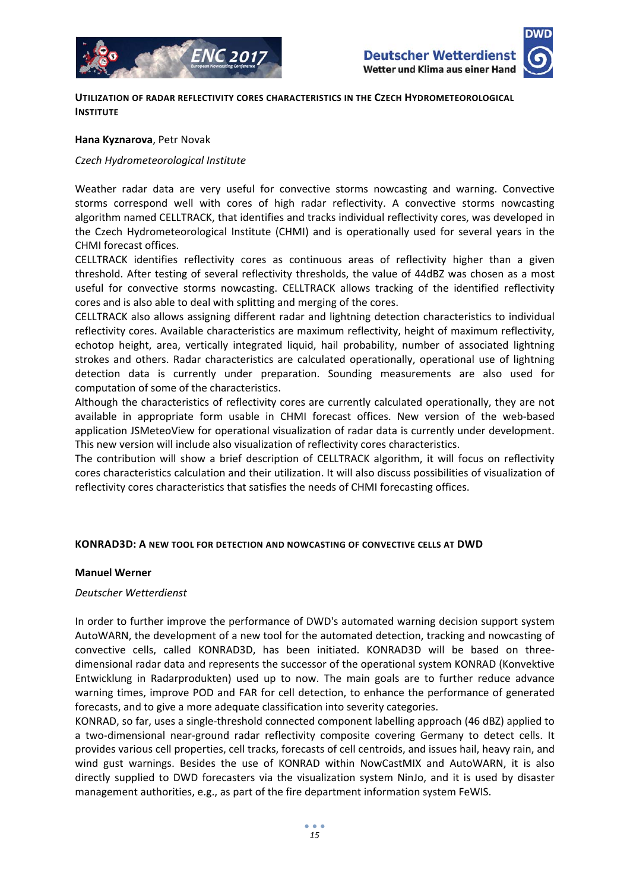



**UTILIZATION OF RADAR REFLECTIVITY CORES CHARACTERISTICS IN THE CZECH HYDROMETEOROLOGICAL INSTITUTE** 

#### **Hana Kyznarova**, Petr Novak

#### *Czech Hydrometeorological Institute*

Weather radar data are very useful for convective storms nowcasting and warning. Convective storms correspond well with cores of high radar reflectivity. A convective storms nowcasting algorithm named CELLTRACK, that identifies and tracks individual reflectivity cores, was developed in the Czech Hydrometeorological Institute (CHMI) and is operationally used for several years in the CHMI forecast offices.

CELLTRACK identifies reflectivity cores as continuous areas of reflectivity higher than a given threshold. After testing of several reflectivity thresholds, the value of 44dBZ was chosen as a most useful for convective storms nowcasting. CELLTRACK allows tracking of the identified reflectivity cores and is also able to deal with splitting and merging of the cores.

CELLTRACK also allows assigning different radar and lightning detection characteristics to individual reflectivity cores. Available characteristics are maximum reflectivity, height of maximum reflectivity, echotop height, area, vertically integrated liquid, hail probability, number of associated lightning strokes and others. Radar characteristics are calculated operationally, operational use of lightning detection data is currently under preparation. Sounding measurements are also used for computation of some of the characteristics.

Although the characteristics of reflectivity cores are currently calculated operationally, they are not available in appropriate form usable in CHMI forecast offices. New version of the web-based application JSMeteoView for operational visualization of radar data is currently under development. This new version will include also visualization of reflectivity cores characteristics.

The contribution will show a brief description of CELLTRACK algorithm, it will focus on reflectivity cores characteristics calculation and their utilization. It will also discuss possibilities of visualization of reflectivity cores characteristics that satisfies the needs of CHMI forecasting offices.

#### **KONRAD3D: A NEW TOOL FOR DETECTION AND NOWCASTING OF CONVECTIVE CELLS AT DWD**

#### **Manuel Werner**

#### *Deutscher Wetterdienst*

In order to further improve the performance of DWD's automated warning decision support system AutoWARN, the development of a new tool for the automated detection, tracking and nowcasting of convective cells, called KONRAD3D, has been initiated. KONRAD3D will be based on three‐ dimensional radar data and represents the successor of the operational system KONRAD (Konvektive Entwicklung in Radarprodukten) used up to now. The main goals are to further reduce advance warning times, improve POD and FAR for cell detection, to enhance the performance of generated forecasts, and to give a more adequate classification into severity categories.

KONRAD, so far, uses a single‐threshold connected component labelling approach (46 dBZ) applied to a two-dimensional near-ground radar reflectivity composite covering Germany to detect cells. It provides various cell properties, cell tracks, forecasts of cell centroids, and issues hail, heavy rain, and wind gust warnings. Besides the use of KONRAD within NowCastMIX and AutoWARN, it is also directly supplied to DWD forecasters via the visualization system NinJo, and it is used by disaster management authorities, e.g., as part of the fire department information system FeWIS.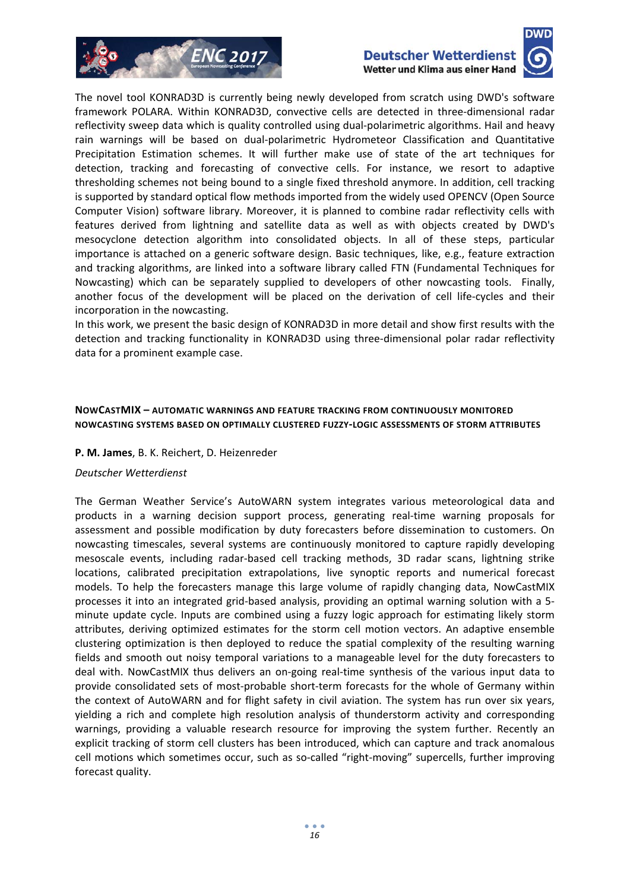





The novel tool KONRAD3D is currently being newly developed from scratch using DWD's software framework POLARA. Within KONRAD3D, convective cells are detected in three‐dimensional radar reflectivity sweep data which is quality controlled using dual‐polarimetric algorithms. Hail and heavy rain warnings will be based on dual‐polarimetric Hydrometeor Classification and Quantitative Precipitation Estimation schemes. It will further make use of state of the art techniques for detection, tracking and forecasting of convective cells. For instance, we resort to adaptive thresholding schemes not being bound to a single fixed threshold anymore. In addition, cell tracking is supported by standard optical flow methods imported from the widely used OPENCV (Open Source Computer Vision) software library. Moreover, it is planned to combine radar reflectivity cells with features derived from lightning and satellite data as well as with objects created by DWD's mesocyclone detection algorithm into consolidated objects. In all of these steps, particular importance is attached on a generic software design. Basic techniques, like, e.g., feature extraction and tracking algorithms, are linked into a software library called FTN (Fundamental Techniques for Nowcasting) which can be separately supplied to developers of other nowcasting tools. Finally, another focus of the development will be placed on the derivation of cell life‐cycles and their incorporation in the nowcasting.

In this work, we present the basic design of KONRAD3D in more detail and show first results with the detection and tracking functionality in KONRAD3D using three‐dimensional polar radar reflectivity data for a prominent example case.

#### **NOWCASTMIX – AUTOMATIC WARNINGS AND FEATURE TRACKING FROM CONTINUOUSLY MONITORED NOWCASTING SYSTEMS BASED ON OPTIMALLY CLUSTERED FUZZY‐LOGIC ASSESSMENTS OF STORM ATTRIBUTES**

#### **P. M. James**, B. K. Reichert, D. Heizenreder

#### *Deutscher Wetterdienst*

The German Weather Service's AutoWARN system integrates various meteorological data and products in a warning decision support process, generating real‐time warning proposals for assessment and possible modification by duty forecasters before dissemination to customers. On nowcasting timescales, several systems are continuously monitored to capture rapidly developing mesoscale events, including radar‐based cell tracking methods, 3D radar scans, lightning strike locations, calibrated precipitation extrapolations, live synoptic reports and numerical forecast models. To help the forecasters manage this large volume of rapidly changing data, NowCastMIX processes it into an integrated grid‐based analysis, providing an optimal warning solution with a 5‐ minute update cycle. Inputs are combined using a fuzzy logic approach for estimating likely storm attributes, deriving optimized estimates for the storm cell motion vectors. An adaptive ensemble clustering optimization is then deployed to reduce the spatial complexity of the resulting warning fields and smooth out noisy temporal variations to a manageable level for the duty forecasters to deal with. NowCastMIX thus delivers an on‐going real‐time synthesis of the various input data to provide consolidated sets of most-probable short-term forecasts for the whole of Germany within the context of AutoWARN and for flight safety in civil aviation. The system has run over six years, yielding a rich and complete high resolution analysis of thunderstorm activity and corresponding warnings, providing a valuable research resource for improving the system further. Recently an explicit tracking of storm cell clusters has been introduced, which can capture and track anomalous cell motions which sometimes occur, such as so-called "right-moving" supercells, further improving forecast quality.

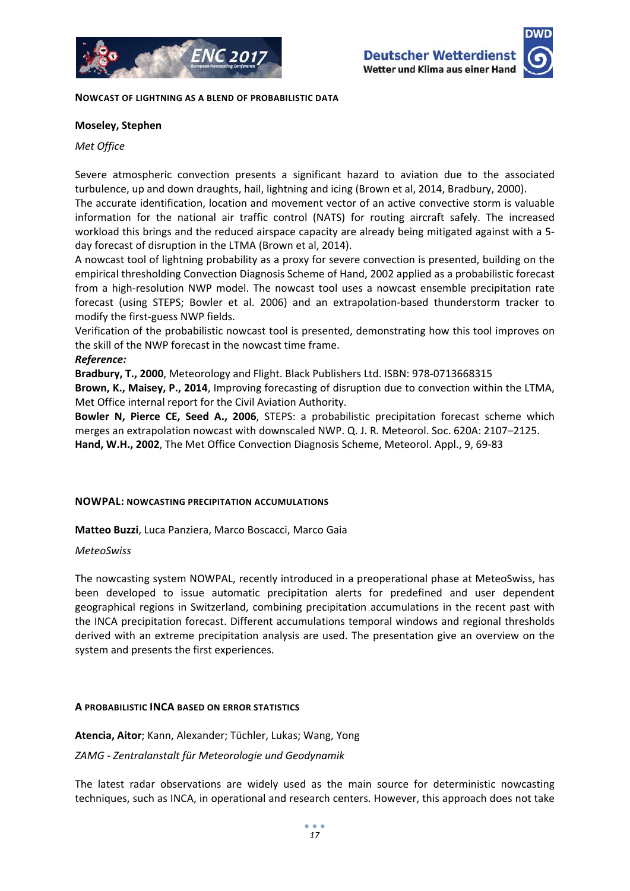





**NOWCAST OF LIGHTNING AS A BLEND OF PROBABILISTIC DATA**

#### **Moseley, Stephen**

*Met Office*

Severe atmospheric convection presents a significant hazard to aviation due to the associated turbulence, up and down draughts, hail, lightning and icing (Brown et al, 2014, Bradbury, 2000).

The accurate identification, location and movement vector of an active convective storm is valuable information for the national air traffic control (NATS) for routing aircraft safely. The increased workload this brings and the reduced airspace capacity are already being mitigated against with a 5‐ day forecast of disruption in the LTMA (Brown et al, 2014).

A nowcast tool of lightning probability as a proxy for severe convection is presented, building on the empirical thresholding Convection Diagnosis Scheme of Hand, 2002 applied as a probabilistic forecast from a high-resolution NWP model. The nowcast tool uses a nowcast ensemble precipitation rate forecast (using STEPS; Bowler et al. 2006) and an extrapolation‐based thunderstorm tracker to modify the first‐guess NWP fields.

Verification of the probabilistic nowcast tool is presented, demonstrating how this tool improves on the skill of the NWP forecast in the nowcast time frame.

*Reference:*

**Bradbury, T., 2000**, Meteorology and Flight. Black Publishers Ltd. ISBN: 978‐0713668315

**Brown, K., Maisey, P., 2014**, Improving forecasting of disruption due to convection within the LTMA, Met Office internal report for the Civil Aviation Authority.

**Bowler N, Pierce CE, Seed A., 2006**, STEPS: a probabilistic precipitation forecast scheme which merges an extrapolation nowcast with downscaled NWP. Q. J. R. Meteorol. Soc. 620A: 2107–2125. **Hand, W.H., 2002**, The Met Office Convection Diagnosis Scheme, Meteorol. Appl., 9, 69‐83

#### **NOWPAL: NOWCASTING PRECIPITATION ACCUMULATIONS**

**Matteo Buzzi**, Luca Panziera, Marco Boscacci, Marco Gaia

*MeteoSwiss*

The nowcasting system NOWPAL, recently introduced in a preoperational phase at MeteoSwiss, has been developed to issue automatic precipitation alerts for predefined and user dependent geographical regions in Switzerland, combining precipitation accumulations in the recent past with the INCA precipitation forecast. Different accumulations temporal windows and regional thresholds derived with an extreme precipitation analysis are used. The presentation give an overview on the system and presents the first experiences.

#### **A PROBABILISTIC INCA BASED ON ERROR STATISTICS**

**Atencia, Aitor**; Kann, Alexander; Tüchler, Lukas; Wang, Yong

*ZAMG ‐ Zentralanstalt für Meteorologie und Geodynamik*

The latest radar observations are widely used as the main source for deterministic nowcasting techniques, such as INCA, in operational and research centers. However, this approach does not take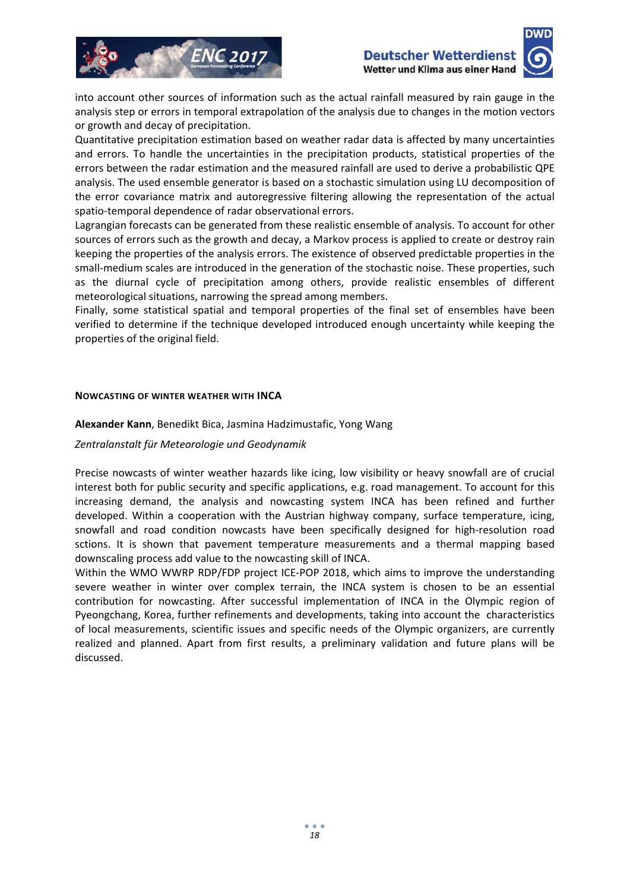



into account other sources of information such as the actual rainfall measured by rain gauge in the analysis step or errors in temporal extrapolation of the analysis due to changes in the motion vectors or growth and decay of precipitation.

Quantitative precipitation estimation based on weather radar data is affected by many uncertainties and errors. To handle the uncertainties in the precipitation products, statistical properties of the errors between the radar estimation and the measured rainfall are used to derive a probabilistic QPE analysis. The used ensemble generator is based on a stochastic simulation using LU decomposition of the error covariance matrix and autoregressive filtering allowing the representation of the actual spatio‐temporal dependence of radar observational errors.

Lagrangian forecasts can be generated from these realistic ensemble of analysis. To account for other sources of errors such as the growth and decay, a Markov process is applied to create or destroy rain keeping the properties of the analysis errors. The existence of observed predictable properties in the small-medium scales are introduced in the generation of the stochastic noise. These properties, such as the diurnal cycle of precipitation among others, provide realistic ensembles of different meteorological situations, narrowing the spread among members.

Finally, some statistical spatial and temporal properties of the final set of ensembles have been verified to determine if the technique developed introduced enough uncertainty while keeping the properties of the original field.

#### **NOWCASTING OF WINTER WEATHER WITH INCA**

#### **Alexander Kann**, Benedikt Bica, Jasmina Hadzimustafic, Yong Wang

#### *Zentralanstalt für Meteorologie und Geodynamik*

Precise nowcasts of winter weather hazards like icing, low visibility or heavy snowfall are of crucial interest both for public security and specific applications, e.g. road management. To account for this increasing demand, the analysis and nowcasting system INCA has been refined and further developed. Within a cooperation with the Austrian highway company, surface temperature, icing, snowfall and road condition nowcasts have been specifically designed for high-resolution road sctions. It is shown that pavement temperature measurements and a thermal mapping based downscaling process add value to the nowcasting skill of INCA.

Within the WMO WWRP RDP/FDP project ICE-POP 2018, which aims to improve the understanding severe weather in winter over complex terrain, the INCA system is chosen to be an essential contribution for nowcasting. After successful implementation of INCA in the Olympic region of Pyeongchang, Korea, further refinements and developments, taking into account the characteristics of local measurements, scientific issues and specific needs of the Olympic organizers, are currently realized and planned. Apart from first results, a preliminary validation and future plans will be discussed.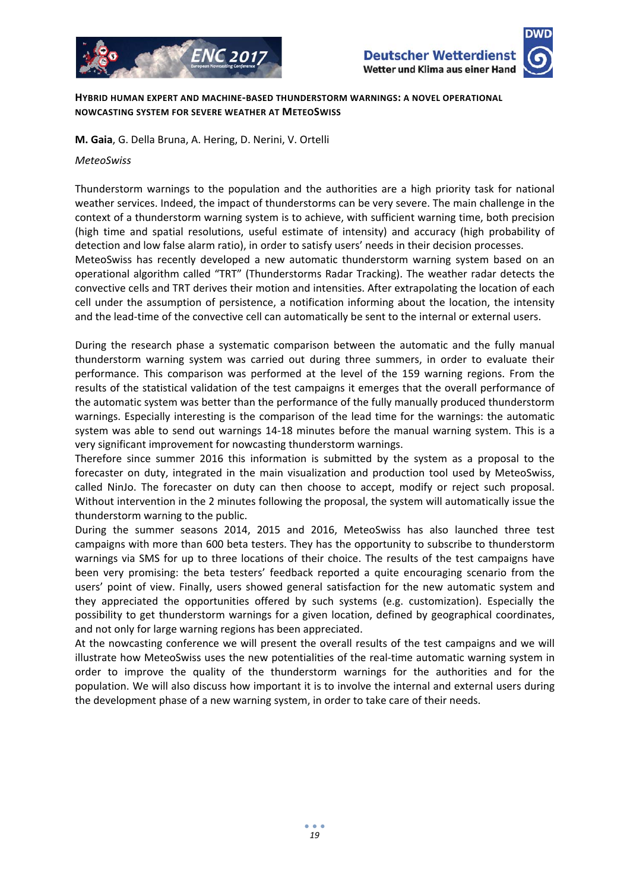



**HYBRID HUMAN EXPERT AND MACHINE‐BASED THUNDERSTORM WARNINGS: A NOVEL OPERATIONAL NOWCASTING SYSTEM FOR SEVERE WEATHER AT METEOSWISS**

**M. Gaia**, G. Della Bruna, A. Hering, D. Nerini, V. Ortelli

#### *MeteoSwiss*

Thunderstorm warnings to the population and the authorities are a high priority task for national weather services. Indeed, the impact of thunderstorms can be very severe. The main challenge in the context of a thunderstorm warning system is to achieve, with sufficient warning time, both precision (high time and spatial resolutions, useful estimate of intensity) and accuracy (high probability of detection and low false alarm ratio), in order to satisfy users' needs in their decision processes.

MeteoSwiss has recently developed a new automatic thunderstorm warning system based on an operational algorithm called "TRT" (Thunderstorms Radar Tracking). The weather radar detects the convective cells and TRT derives their motion and intensities. After extrapolating the location of each cell under the assumption of persistence, a notification informing about the location, the intensity and the lead-time of the convective cell can automatically be sent to the internal or external users.

During the research phase a systematic comparison between the automatic and the fully manual thunderstorm warning system was carried out during three summers, in order to evaluate their performance. This comparison was performed at the level of the 159 warning regions. From the results of the statistical validation of the test campaigns it emerges that the overall performance of the automatic system was better than the performance of the fully manually produced thunderstorm warnings. Especially interesting is the comparison of the lead time for the warnings: the automatic system was able to send out warnings 14-18 minutes before the manual warning system. This is a very significant improvement for nowcasting thunderstorm warnings.

Therefore since summer 2016 this information is submitted by the system as a proposal to the forecaster on duty, integrated in the main visualization and production tool used by MeteoSwiss, called NinJo. The forecaster on duty can then choose to accept, modify or reject such proposal. Without intervention in the 2 minutes following the proposal, the system will automatically issue the thunderstorm warning to the public.

During the summer seasons 2014, 2015 and 2016, MeteoSwiss has also launched three test campaigns with more than 600 beta testers. They has the opportunity to subscribe to thunderstorm warnings via SMS for up to three locations of their choice. The results of the test campaigns have been very promising: the beta testers' feedback reported a quite encouraging scenario from the users' point of view. Finally, users showed general satisfaction for the new automatic system and they appreciated the opportunities offered by such systems (e.g. customization). Especially the possibility to get thunderstorm warnings for a given location, defined by geographical coordinates, and not only for large warning regions has been appreciated.

At the nowcasting conference we will present the overall results of the test campaigns and we will illustrate how MeteoSwiss uses the new potentialities of the real‐time automatic warning system in order to improve the quality of the thunderstorm warnings for the authorities and for the population. We will also discuss how important it is to involve the internal and external users during the development phase of a new warning system, in order to take care of their needs.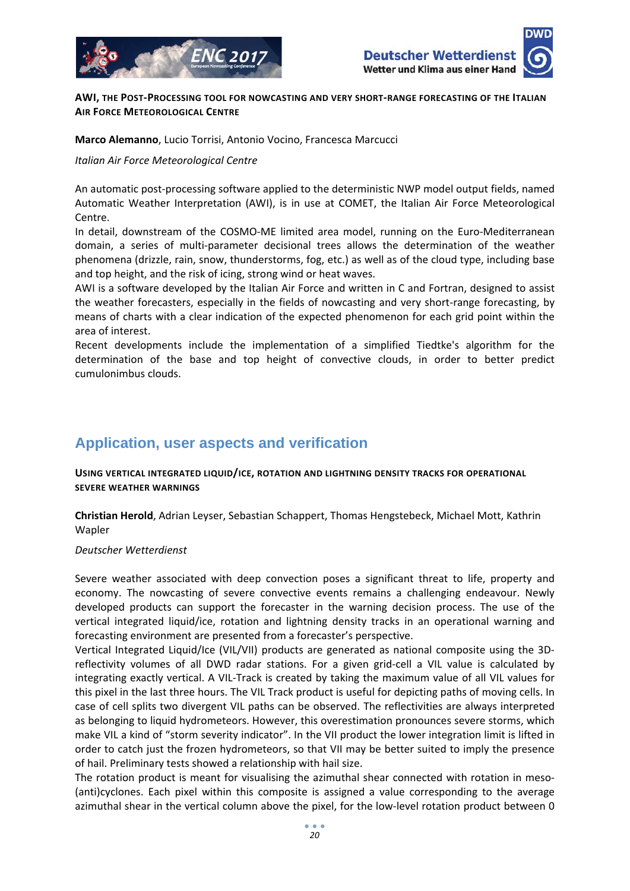





#### **AWI, THE POST‐PROCESSING TOOL FOR NOWCASTING AND VERY SHORT‐RANGE FORECASTING OF THE ITALIAN AIR FORCE METEOROLOGICAL CENTRE**

#### **Marco Alemanno**, Lucio Torrisi, Antonio Vocino, Francesca Marcucci

#### *Italian Air Force Meteorological Centre*

An automatic post‐processing software applied to the deterministic NWP model output fields, named Automatic Weather Interpretation (AWI), is in use at COMET, the Italian Air Force Meteorological Centre.

In detail, downstream of the COSMO-ME limited area model, running on the Euro-Mediterranean domain, a series of multi‐parameter decisional trees allows the determination of the weather phenomena (drizzle, rain, snow, thunderstorms, fog, etc.) as well as of the cloud type, including base and top height, and the risk of icing, strong wind or heat waves.

AWI is a software developed by the Italian Air Force and written in C and Fortran, designed to assist the weather forecasters, especially in the fields of nowcasting and very short-range forecasting, by means of charts with a clear indication of the expected phenomenon for each grid point within the area of interest.

Recent developments include the implementation of a simplified Tiedtke's algorithm for the determination of the base and top height of convective clouds, in order to better predict cumulonimbus clouds.

# **Application, user aspects and verification**

**USING VERTICAL INTEGRATED LIQUID/ICE, ROTATION AND LIGHTNING DENSITY TRACKS FOR OPERATIONAL SEVERE WEATHER WARNINGS**

**Christian Herold**, Adrian Leyser, Sebastian Schappert, Thomas Hengstebeck, Michael Mott, Kathrin Wapler

#### *Deutscher Wetterdienst*

Severe weather associated with deep convection poses a significant threat to life, property and economy. The nowcasting of severe convective events remains a challenging endeavour. Newly developed products can support the forecaster in the warning decision process. The use of the vertical integrated liquid/ice, rotation and lightning density tracks in an operational warning and forecasting environment are presented from a forecaster's perspective.

Vertical Integrated Liquid/Ice (VIL/VII) products are generated as national composite using the 3D‐ reflectivity volumes of all DWD radar stations. For a given grid-cell a VIL value is calculated by integrating exactly vertical. A VIL‐Track is created by taking the maximum value of all VIL values for this pixel in the last three hours. The VIL Track product is useful for depicting paths of moving cells. In case of cell splits two divergent VIL paths can be observed. The reflectivities are always interpreted as belonging to liquid hydrometeors. However, this overestimation pronounces severe storms, which make VIL a kind of "storm severity indicator". In the VII product the lower integration limit is lifted in order to catch just the frozen hydrometeors, so that VII may be better suited to imply the presence of hail. Preliminary tests showed a relationship with hail size.

The rotation product is meant for visualising the azimuthal shear connected with rotation in meso-(anti)cyclones. Each pixel within this composite is assigned a value corresponding to the average azimuthal shear in the vertical column above the pixel, for the low-level rotation product between 0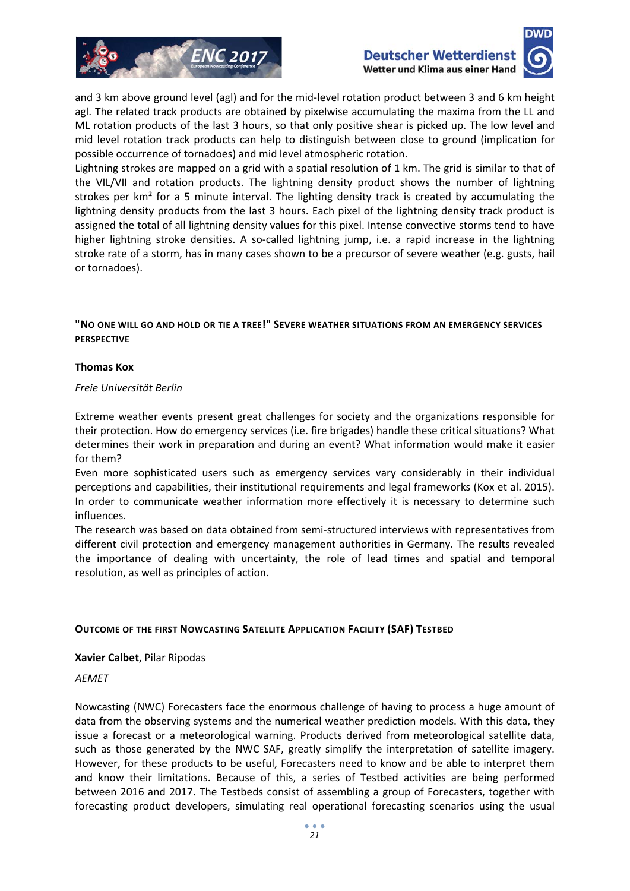



and 3 km above ground level (agl) and for the mid-level rotation product between 3 and 6 km height agl. The related track products are obtained by pixelwise accumulating the maxima from the LL and ML rotation products of the last 3 hours, so that only positive shear is picked up. The low level and mid level rotation track products can help to distinguish between close to ground (implication for possible occurrence of tornadoes) and mid level atmospheric rotation.

Lightning strokes are mapped on a grid with a spatial resolution of 1 km. The grid is similar to that of the VIL/VII and rotation products. The lightning density product shows the number of lightning strokes per km<sup>2</sup> for a 5 minute interval. The lighting density track is created by accumulating the lightning density products from the last 3 hours. Each pixel of the lightning density track product is assigned the total of all lightning density values for this pixel. Intense convective storms tend to have higher lightning stroke densities. A so-called lightning jump, i.e. a rapid increase in the lightning stroke rate of a storm, has in many cases shown to be a precursor of severe weather (e.g. gusts, hail or tornadoes).

#### **"NO ONE WILL GO AND HOLD OR TIE A TREE!" SEVERE WEATHER SITUATIONS FROM AN EMERGENCY SERVICES PERSPECTIVE**

#### **Thomas Kox**

#### *Freie Universität Berlin*

Extreme weather events present great challenges for society and the organizations responsible for their protection. How do emergency services (i.e. fire brigades) handle these critical situations? What determines their work in preparation and during an event? What information would make it easier for them?

Even more sophisticated users such as emergency services vary considerably in their individual perceptions and capabilities, their institutional requirements and legal frameworks (Kox et al. 2015). In order to communicate weather information more effectively it is necessary to determine such influences.

The research was based on data obtained from semi‐structured interviews with representatives from different civil protection and emergency management authorities in Germany. The results revealed the importance of dealing with uncertainty, the role of lead times and spatial and temporal resolution, as well as principles of action.

#### **OUTCOME OF THE FIRST NOWCASTING SATELLITE APPLICATION FACILITY (SAF) TESTBED**

#### **Xavier Calbet**, Pilar Ripodas

#### *AEMET*

Nowcasting (NWC) Forecasters face the enormous challenge of having to process a huge amount of data from the observing systems and the numerical weather prediction models. With this data, they issue a forecast or a meteorological warning. Products derived from meteorological satellite data, such as those generated by the NWC SAF, greatly simplify the interpretation of satellite imagery. However, for these products to be useful, Forecasters need to know and be able to interpret them and know their limitations. Because of this, a series of Testbed activities are being performed between 2016 and 2017. The Testbeds consist of assembling a group of Forecasters, together with forecasting product developers, simulating real operational forecasting scenarios using the usual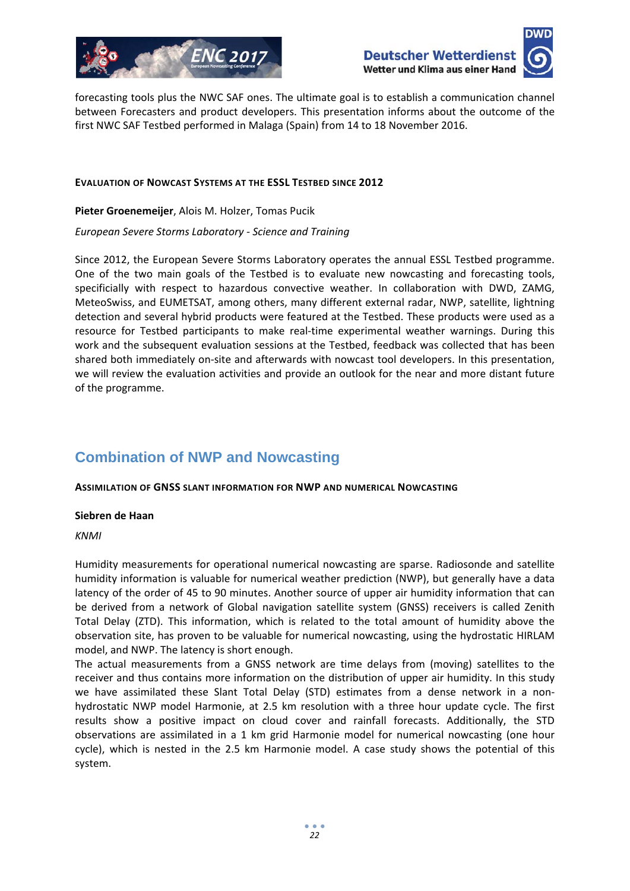



forecasting tools plus the NWC SAF ones. The ultimate goal is to establish a communication channel between Forecasters and product developers. This presentation informs about the outcome of the first NWC SAF Testbed performed in Malaga (Spain) from 14 to 18 November 2016.

#### **EVALUATION OF NOWCAST SYSTEMS AT THE ESSL TESTBED SINCE 2012**

**Pieter Groenemeijer**, Alois M. Holzer, Tomas Pucik

*European Severe Storms Laboratory ‐ Science and Training*

Since 2012, the European Severe Storms Laboratory operates the annual ESSL Testbed programme. One of the two main goals of the Testbed is to evaluate new nowcasting and forecasting tools, specificially with respect to hazardous convective weather. In collaboration with DWD, ZAMG, MeteoSwiss, and EUMETSAT, among others, many different external radar, NWP, satellite, lightning detection and several hybrid products were featured at the Testbed. These products were used as a resource for Testbed participants to make real-time experimental weather warnings. During this work and the subsequent evaluation sessions at the Testbed, feedback was collected that has been shared both immediately on‐site and afterwards with nowcast tool developers. In this presentation, we will review the evaluation activities and provide an outlook for the near and more distant future of the programme.

# **Combination of NWP and Nowcasting**

#### **ASSIMILATION OF GNSS SLANT INFORMATION FOR NWP AND NUMERICAL NOWCASTING**

#### **Siebren de Haan**

#### *KNMI*

Humidity measurements for operational numerical nowcasting are sparse. Radiosonde and satellite humidity information is valuable for numerical weather prediction (NWP), but generally have a data latency of the order of 45 to 90 minutes. Another source of upper air humidity information that can be derived from a network of Global navigation satellite system (GNSS) receivers is called Zenith Total Delay (ZTD). This information, which is related to the total amount of humidity above the observation site, has proven to be valuable for numerical nowcasting, using the hydrostatic HIRLAM model, and NWP. The latency is short enough.

The actual measurements from a GNSS network are time delays from (moving) satellites to the receiver and thus contains more information on the distribution of upper air humidity. In this study we have assimilated these Slant Total Delay (STD) estimates from a dense network in a nonhydrostatic NWP model Harmonie, at 2.5 km resolution with a three hour update cycle. The first results show a positive impact on cloud cover and rainfall forecasts. Additionally, the STD observations are assimilated in a 1 km grid Harmonie model for numerical nowcasting (one hour cycle), which is nested in the 2.5 km Harmonie model. A case study shows the potential of this system.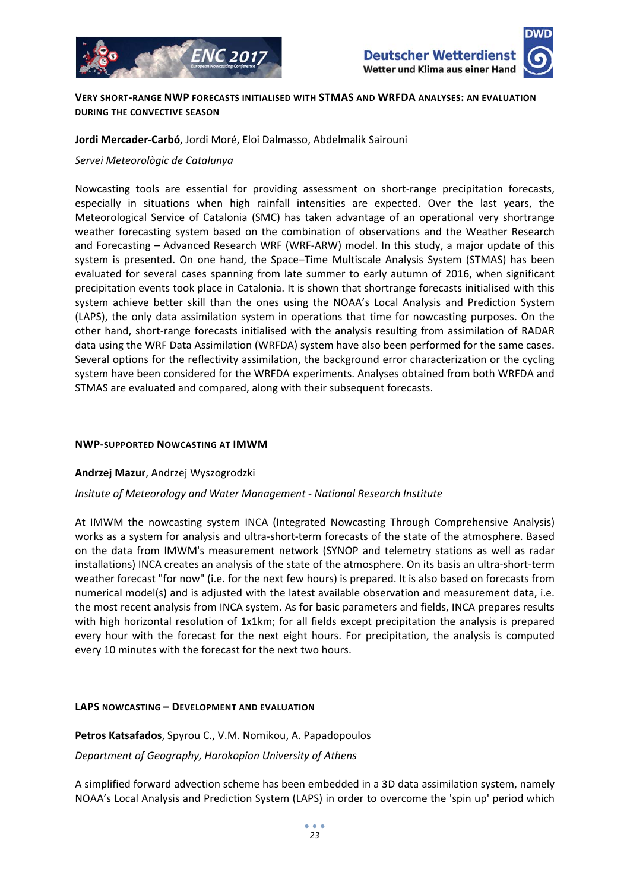



#### **VERY SHORT‐RANGE NWP FORECASTS INITIALISED WITH STMAS AND WRFDA ANALYSES: AN EVALUATION DURING THE CONVECTIVE SEASON**

#### **Jordi Mercader‐Carbó**, Jordi Moré, Eloi Dalmasso, Abdelmalik Sairouni

#### *Servei Meteorològic de Catalunya*

Nowcasting tools are essential for providing assessment on short-range precipitation forecasts, especially in situations when high rainfall intensities are expected. Over the last years, the Meteorological Service of Catalonia (SMC) has taken advantage of an operational very shortrange weather forecasting system based on the combination of observations and the Weather Research and Forecasting – Advanced Research WRF (WRF‐ARW) model. In this study, a major update of this system is presented. On one hand, the Space–Time Multiscale Analysis System (STMAS) has been evaluated for several cases spanning from late summer to early autumn of 2016, when significant precipitation events took place in Catalonia. It is shown that shortrange forecasts initialised with this system achieve better skill than the ones using the NOAA's Local Analysis and Prediction System (LAPS), the only data assimilation system in operations that time for nowcasting purposes. On the other hand, short‐range forecasts initialised with the analysis resulting from assimilation of RADAR data using the WRF Data Assimilation (WRFDA) system have also been performed for the same cases. Several options for the reflectivity assimilation, the background error characterization or the cycling system have been considered for the WRFDA experiments. Analyses obtained from both WRFDA and STMAS are evaluated and compared, along with their subsequent forecasts.

#### **NWP‐SUPPORTED NOWCASTING AT IMWM**

#### **Andrzej Mazur**, Andrzej Wyszogrodzki

#### *Insitute of Meteorology and Water Management ‐ National Research Institute*

At IMWM the nowcasting system INCA (Integrated Nowcasting Through Comprehensive Analysis) works as a system for analysis and ultra-short-term forecasts of the state of the atmosphere. Based on the data from IMWM's measurement network (SYNOP and telemetry stations as well as radar installations) INCA creates an analysis of the state of the atmosphere. On its basis an ultra‐short‐term weather forecast "for now" (i.e. for the next few hours) is prepared. It is also based on forecasts from numerical model(s) and is adjusted with the latest available observation and measurement data, i.e. the most recent analysis from INCA system. As for basic parameters and fields, INCA prepares results with high horizontal resolution of 1x1km; for all fields except precipitation the analysis is prepared every hour with the forecast for the next eight hours. For precipitation, the analysis is computed every 10 minutes with the forecast for the next two hours.

#### **LAPS NOWCASTING – DEVELOPMENT AND EVALUATION**

**Petros Katsafados**, Spyrou C., V.M. Nomikou, A. Papadopoulos *Department of Geography, Harokopion University of Athens*

A simplified forward advection scheme has been embedded in a 3D data assimilation system, namely NOAA's Local Analysis and Prediction System (LAPS) in order to overcome the 'spin up' period which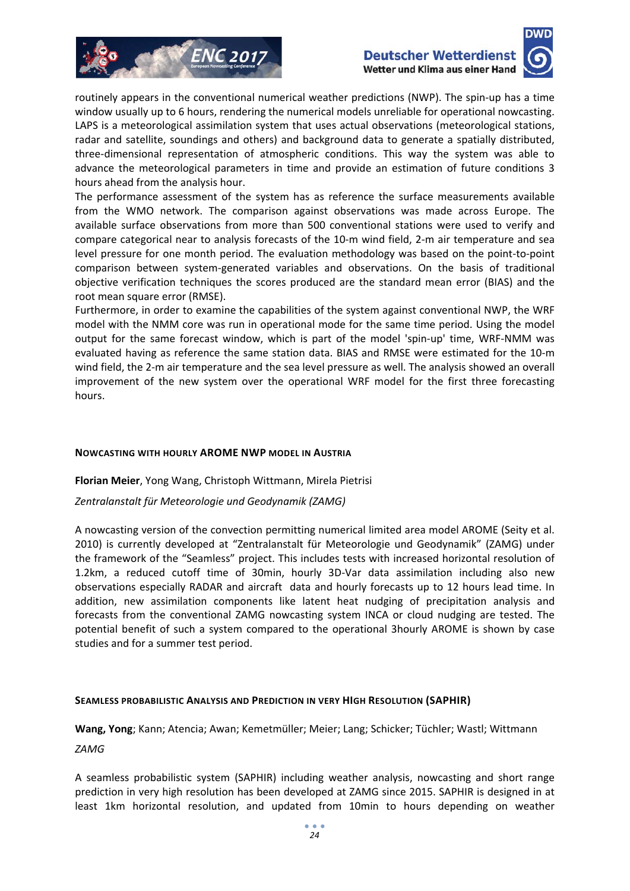



routinely appears in the conventional numerical weather predictions (NWP). The spin‐up has a time window usually up to 6 hours, rendering the numerical models unreliable for operational nowcasting. LAPS is a meteorological assimilation system that uses actual observations (meteorological stations, radar and satellite, soundings and others) and background data to generate a spatially distributed, three‐dimensional representation of atmospheric conditions. This way the system was able to advance the meteorological parameters in time and provide an estimation of future conditions 3 hours ahead from the analysis hour.

The performance assessment of the system has as reference the surface measurements available from the WMO network. The comparison against observations was made across Europe. The available surface observations from more than 500 conventional stations were used to verify and compare categorical near to analysis forecasts of the 10‐m wind field, 2‐m air temperature and sea level pressure for one month period. The evaluation methodology was based on the point‐to‐point comparison between system-generated variables and observations. On the basis of traditional objective verification techniques the scores produced are the standard mean error (BIAS) and the root mean square error (RMSE).

Furthermore, in order to examine the capabilities of the system against conventional NWP, the WRF model with the NMM core was run in operational mode for the same time period. Using the model output for the same forecast window, which is part of the model 'spin-up' time, WRF-NMM was evaluated having as reference the same station data. BIAS and RMSE were estimated for the 10‐m wind field, the 2-m air temperature and the sea level pressure as well. The analysis showed an overall improvement of the new system over the operational WRF model for the first three forecasting hours.

#### **NOWCASTING WITH HOURLY AROME NWP MODEL IN AUSTRIA**

#### **Florian Meier**, Yong Wang, Christoph Wittmann, Mirela Pietrisi

#### *Zentralanstalt für Meteorologie und Geodynamik (ZAMG)*

A nowcasting version of the convection permitting numerical limited area model AROME (Seity et al. 2010) is currently developed at "Zentralanstalt für Meteorologie und Geodynamik" (ZAMG) under the framework of the "Seamless" project. This includes tests with increased horizontal resolution of 1.2km, a reduced cutoff time of 30min, hourly 3D‐Var data assimilation including also new observations especially RADAR and aircraft data and hourly forecasts up to 12 hours lead time. In addition, new assimilation components like latent heat nudging of precipitation analysis and forecasts from the conventional ZAMG nowcasting system INCA or cloud nudging are tested. The potential benefit of such a system compared to the operational 3hourly AROME is shown by case studies and for a summer test period.

#### **SEAMLESS PROBABILISTIC ANALYSIS AND PREDICTION IN VERY HIGH RESOLUTION (SAPHIR)**

**Wang, Yong**; Kann; Atencia; Awan; Kemetmüller; Meier; Lang; Schicker; Tüchler; Wastl; Wittmann *ZAMG*

A seamless probabilistic system (SAPHIR) including weather analysis, nowcasting and short range prediction in very high resolution has been developed at ZAMG since 2015. SAPHIR is designed in at least 1km horizontal resolution, and updated from 10min to hours depending on weather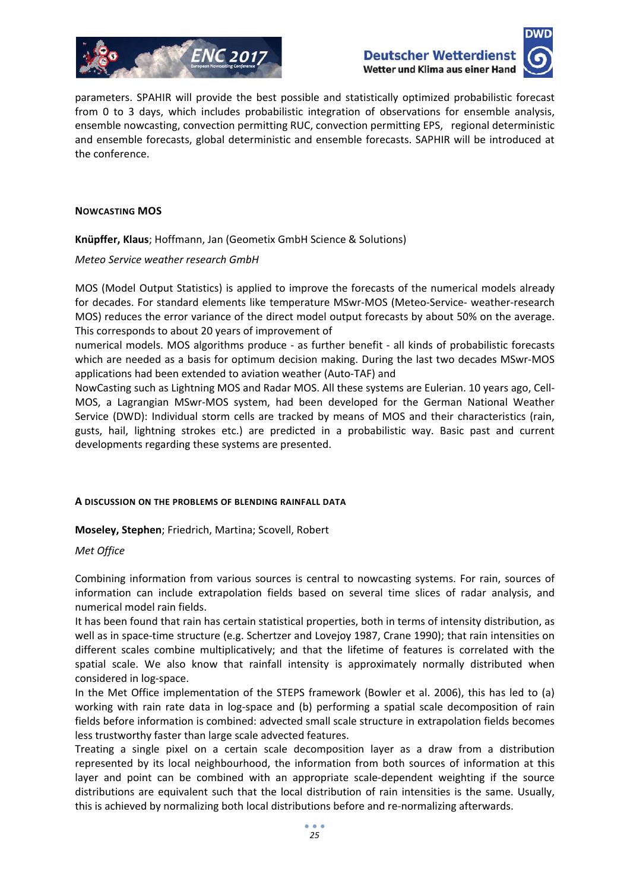



parameters. SPAHIR will provide the best possible and statistically optimized probabilistic forecast from 0 to 3 days, which includes probabilistic integration of observations for ensemble analysis, ensemble nowcasting, convection permitting RUC, convection permitting EPS, regional deterministic and ensemble forecasts, global deterministic and ensemble forecasts. SAPHIR will be introduced at the conference.

#### **NOWCASTING MOS**

**Knüpffer, Klaus**; Hoffmann, Jan (Geometix GmbH Science & Solutions)

*Meteo Service weather research GmbH*

MOS (Model Output Statistics) is applied to improve the forecasts of the numerical models already for decades. For standard elements like temperature MSwr‐MOS (Meteo‐Service‐ weather‐research MOS) reduces the error variance of the direct model output forecasts by about 50% on the average. This corresponds to about 20 years of improvement of

numerical models. MOS algorithms produce - as further benefit - all kinds of probabilistic forecasts which are needed as a basis for optimum decision making. During the last two decades MSwr‐MOS applications had been extended to aviation weather (Auto‐TAF) and

NowCasting such as Lightning MOS and Radar MOS. All these systems are Eulerian. 10 years ago, Cell‐ MOS, a Lagrangian MSwr‐MOS system, had been developed for the German National Weather Service (DWD): Individual storm cells are tracked by means of MOS and their characteristics (rain, gusts, hail, lightning strokes etc.) are predicted in a probabilistic way. Basic past and current developments regarding these systems are presented.

#### **A DISCUSSION ON THE PROBLEMS OF BLENDING RAINFALL DATA**

**Moseley, Stephen**; Friedrich, Martina; Scovell, Robert

#### *Met Office*

Combining information from various sources is central to nowcasting systems. For rain, sources of information can include extrapolation fields based on several time slices of radar analysis, and numerical model rain fields.

It has been found that rain has certain statistical properties, both in terms of intensity distribution, as well as in space-time structure (e.g. Schertzer and Lovejoy 1987, Crane 1990); that rain intensities on different scales combine multiplicatively; and that the lifetime of features is correlated with the spatial scale. We also know that rainfall intensity is approximately normally distributed when considered in log‐space.

In the Met Office implementation of the STEPS framework (Bowler et al. 2006), this has led to (a) working with rain rate data in log-space and (b) performing a spatial scale decomposition of rain fields before information is combined: advected small scale structure in extrapolation fields becomes less trustworthy faster than large scale advected features.

Treating a single pixel on a certain scale decomposition layer as a draw from a distribution represented by its local neighbourhood, the information from both sources of information at this layer and point can be combined with an appropriate scale‐dependent weighting if the source distributions are equivalent such that the local distribution of rain intensities is the same. Usually, this is achieved by normalizing both local distributions before and re‐normalizing afterwards.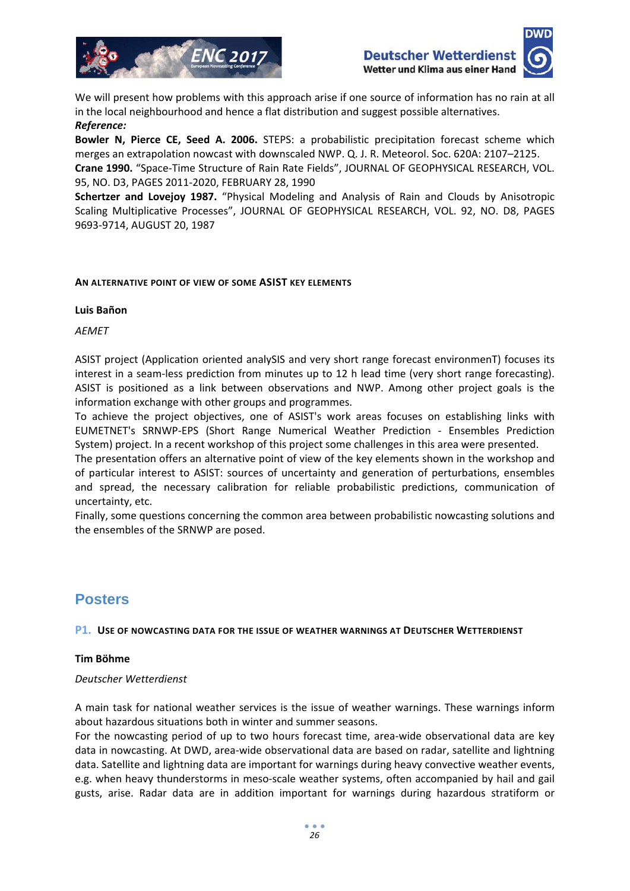



We will present how problems with this approach arise if one source of information has no rain at all in the local neighbourhood and hence a flat distribution and suggest possible alternatives. *Reference:*

**Bowler N, Pierce CE, Seed A. 2006.** STEPS: a probabilistic precipitation forecast scheme which merges an extrapolation nowcast with downscaled NWP. Q. J. R. Meteorol. Soc. 620A: 2107–2125.

**Crane 1990.** "Space‐Time Structure of Rain Rate Fields", JOURNAL OF GEOPHYSICAL RESEARCH, VOL. 95, NO. D3, PAGES 2011‐2020, FEBRUARY 28, 1990

**Schertzer and Lovejoy 1987.** "Physical Modeling and Analysis of Rain and Clouds by Anisotropic Scaling Multiplicative Processes", JOURNAL OF GEOPHYSICAL RESEARCH, VOL. 92, NO. D8, PAGES 9693‐9714, AUGUST 20, 1987

#### **AN ALTERNATIVE POINT OF VIEW OF SOME ASIST KEY ELEMENTS**

#### **Luis Bañon**

*AEMET*

ASIST project (Application oriented analySIS and very short range forecast environmenT) focuses its interest in a seam-less prediction from minutes up to 12 h lead time (very short range forecasting). ASIST is positioned as a link between observations and NWP. Among other project goals is the information exchange with other groups and programmes.

To achieve the project objectives, one of ASIST's work areas focuses on establishing links with EUMETNET's SRNWP‐EPS (Short Range Numerical Weather Prediction ‐ Ensembles Prediction System) project. In a recent workshop of this project some challenges in this area were presented.

The presentation offers an alternative point of view of the key elements shown in the workshop and of particular interest to ASIST: sources of uncertainty and generation of perturbations, ensembles and spread, the necessary calibration for reliable probabilistic predictions, communication of uncertainty, etc.

Finally, some questions concerning the common area between probabilistic nowcasting solutions and the ensembles of the SRNWP are posed.

## **Posters**

#### **P1. USE OF NOWCASTING DATA FOR THE ISSUE OF WEATHER WARNINGS AT DEUTSCHER WETTERDIENST**

#### **Tim Böhme**

#### *Deutscher Wetterdienst*

A main task for national weather services is the issue of weather warnings. These warnings inform about hazardous situations both in winter and summer seasons.

For the nowcasting period of up to two hours forecast time, area‐wide observational data are key data in nowcasting. At DWD, area‐wide observational data are based on radar, satellite and lightning data. Satellite and lightning data are important for warnings during heavy convective weather events, e.g. when heavy thunderstorms in meso‐scale weather systems, often accompanied by hail and gail gusts, arise. Radar data are in addition important for warnings during hazardous stratiform or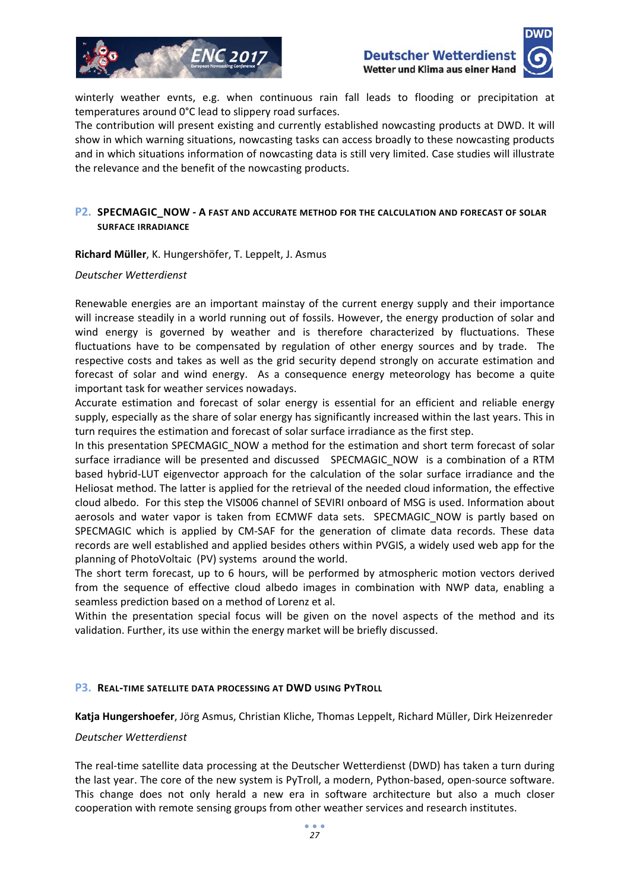



winterly weather evnts, e.g. when continuous rain fall leads to flooding or precipitation at temperatures around 0°C lead to slippery road surfaces.

The contribution will present existing and currently established nowcasting products at DWD. It will show in which warning situations, nowcasting tasks can access broadly to these nowcasting products and in which situations information of nowcasting data is still very limited. Case studies will illustrate the relevance and the benefit of the nowcasting products.

#### **P2. SPECMAGIC\_NOW ‐ A FAST AND ACCURATE METHOD FOR THE CALCULATION AND FORECAST OF SOLAR SURFACE IRRADIANCE**

**Richard Müller**, K. Hungershöfer, T. Leppelt, J. Asmus

#### *Deutscher Wetterdienst*

Renewable energies are an important mainstay of the current energy supply and their importance will increase steadily in a world running out of fossils. However, the energy production of solar and wind energy is governed by weather and is therefore characterized by fluctuations. These fluctuations have to be compensated by regulation of other energy sources and by trade. The respective costs and takes as well as the grid security depend strongly on accurate estimation and forecast of solar and wind energy. As a consequence energy meteorology has become a quite important task for weather services nowadays.

Accurate estimation and forecast of solar energy is essential for an efficient and reliable energy supply, especially as the share of solar energy has significantly increased within the last years. This in turn requires the estimation and forecast of solar surface irradiance as the first step.

In this presentation SPECMAGIC\_NOW a method for the estimation and short term forecast of solar surface irradiance will be presented and discussed SPECMAGIC NOW is a combination of a RTM based hybrid‐LUT eigenvector approach for the calculation of the solar surface irradiance and the Heliosat method. The latter is applied for the retrieval of the needed cloud information, the effective cloud albedo. For this step the VIS006 channel of SEVIRI onboard of MSG is used. Information about aerosols and water vapor is taken from ECMWF data sets. SPECMAGIC NOW is partly based on SPECMAGIC which is applied by CM‐SAF for the generation of climate data records. These data records are well established and applied besides others within PVGIS, a widely used web app for the planning of PhotoVoltaic (PV) systems around the world.

The short term forecast, up to 6 hours, will be performed by atmospheric motion vectors derived from the sequence of effective cloud albedo images in combination with NWP data, enabling a seamless prediction based on a method of Lorenz et al.

Within the presentation special focus will be given on the novel aspects of the method and its validation. Further, its use within the energy market will be briefly discussed.

#### **P3. REAL‐TIME SATELLITE DATA PROCESSING AT DWD USING PYTROLL**

**Katja Hungershoefer**, Jörg Asmus, Christian Kliche, Thomas Leppelt, Richard Müller, Dirk Heizenreder

#### *Deutscher Wetterdienst*

The real‐time satellite data processing at the Deutscher Wetterdienst (DWD) has taken a turn during the last year. The core of the new system is PyTroll, a modern, Python-based, open-source software. This change does not only herald a new era in software architecture but also a much closer cooperation with remote sensing groups from other weather services and research institutes.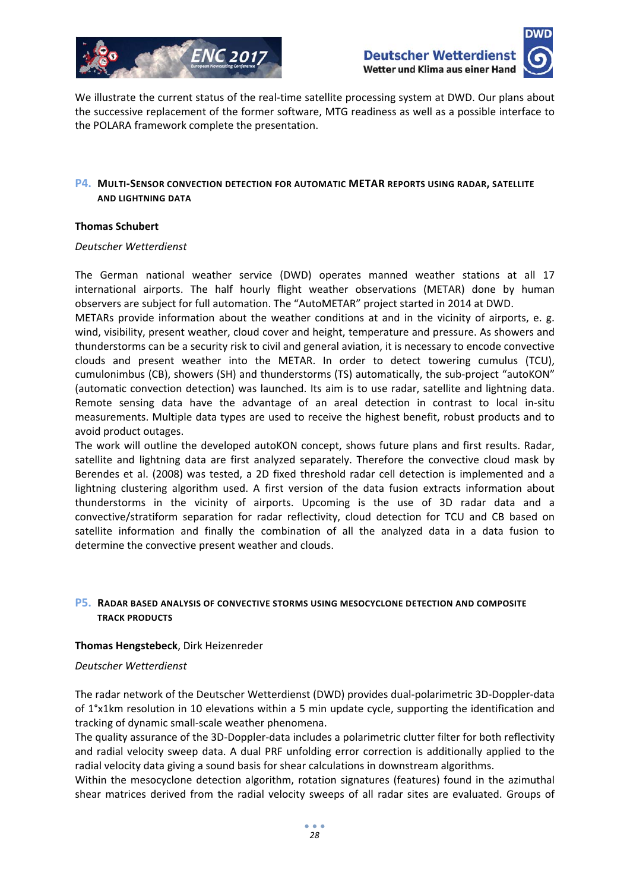



We illustrate the current status of the real-time satellite processing system at DWD. Our plans about the successive replacement of the former software, MTG readiness as well as a possible interface to the POLARA framework complete the presentation.

#### **P4. MULTI‐SENSOR CONVECTION DETECTION FOR AUTOMATIC METAR REPORTS USING RADAR, SATELLITE AND LIGHTNING DATA**

#### **Thomas Schubert**

#### *Deutscher Wetterdienst*

The German national weather service (DWD) operates manned weather stations at all 17 international airports. The half hourly flight weather observations (METAR) done by human observers are subject for full automation. The "AutoMETAR" project started in 2014 at DWD.

METARs provide information about the weather conditions at and in the vicinity of airports, e. g. wind, visibility, present weather, cloud cover and height, temperature and pressure. As showers and thunderstorms can be a security risk to civil and general aviation, it is necessary to encode convective clouds and present weather into the METAR. In order to detect towering cumulus (TCU), cumulonimbus (CB), showers (SH) and thunderstorms (TS) automatically, the sub‐project "autoKON" (automatic convection detection) was launched. Its aim is to use radar, satellite and lightning data. Remote sensing data have the advantage of an areal detection in contrast to local in‐situ measurements. Multiple data types are used to receive the highest benefit, robust products and to avoid product outages.

The work will outline the developed autoKON concept, shows future plans and first results. Radar, satellite and lightning data are first analyzed separately. Therefore the convective cloud mask by Berendes et al. (2008) was tested, a 2D fixed threshold radar cell detection is implemented and a lightning clustering algorithm used. A first version of the data fusion extracts information about thunderstorms in the vicinity of airports. Upcoming is the use of 3D radar data and a convective/stratiform separation for radar reflectivity, cloud detection for TCU and CB based on satellite information and finally the combination of all the analyzed data in a data fusion to determine the convective present weather and clouds.

#### **P5. RADAR BASED ANALYSIS OF CONVECTIVE STORMS USING MESOCYCLONE DETECTION AND COMPOSITE TRACK PRODUCTS**

#### **Thomas Hengstebeck**, Dirk Heizenreder

#### *Deutscher Wetterdienst*

The radar network of the Deutscher Wetterdienst (DWD) provides dual‐polarimetric 3D‐Doppler‐data of 1°x1km resolution in 10 elevations within a 5 min update cycle, supporting the identification and tracking of dynamic small‐scale weather phenomena.

The quality assurance of the 3D-Doppler-data includes a polarimetric clutter filter for both reflectivity and radial velocity sweep data. A dual PRF unfolding error correction is additionally applied to the radial velocity data giving a sound basis for shear calculations in downstream algorithms.

Within the mesocyclone detection algorithm, rotation signatures (features) found in the azimuthal shear matrices derived from the radial velocity sweeps of all radar sites are evaluated. Groups of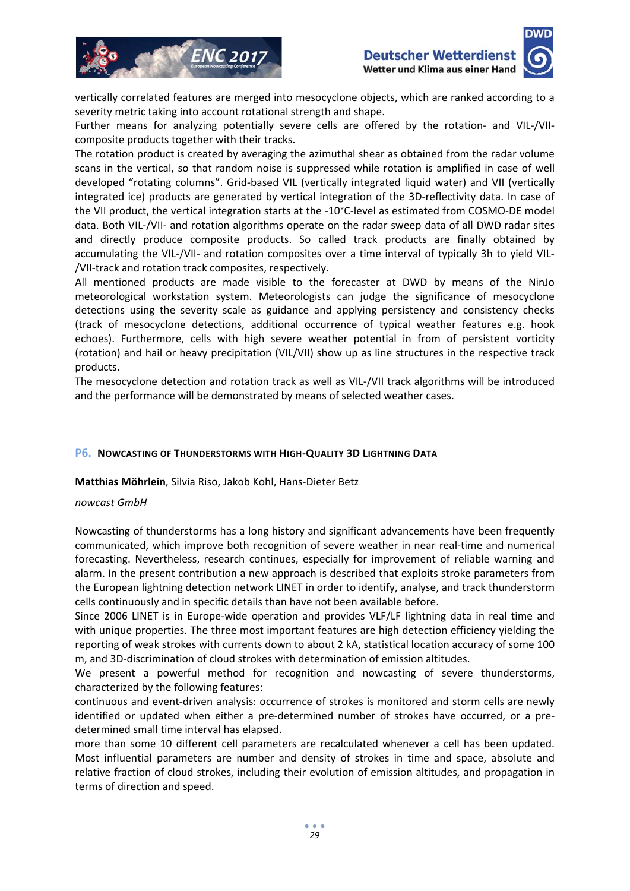





vertically correlated features are merged into mesocyclone objects, which are ranked according to a severity metric taking into account rotational strength and shape.

Further means for analyzing potentially severe cells are offered by the rotation- and VIL-/VIIcomposite products together with their tracks.

The rotation product is created by averaging the azimuthal shear as obtained from the radar volume scans in the vertical, so that random noise is suppressed while rotation is amplified in case of well developed "rotating columns". Grid‐based VIL (vertically integrated liquid water) and VII (vertically integrated ice) products are generated by vertical integration of the 3D-reflectivity data. In case of the VII product, the vertical integration starts at the ‐10°C‐level as estimated from COSMO‐DE model data. Both VIL‐/VII‐ and rotation algorithms operate on the radar sweep data of all DWD radar sites and directly produce composite products. So called track products are finally obtained by accumulating the VIL‐/VII‐ and rotation composites over a time interval of typically 3h to yield VIL‐ /VII‐track and rotation track composites, respectively.

All mentioned products are made visible to the forecaster at DWD by means of the NinJo meteorological workstation system. Meteorologists can judge the significance of mesocyclone detections using the severity scale as guidance and applying persistency and consistency checks (track of mesocyclone detections, additional occurrence of typical weather features e.g. hook echoes). Furthermore, cells with high severe weather potential in from of persistent vorticity (rotation) and hail or heavy precipitation (VIL/VII) show up as line structures in the respective track products.

The mesocyclone detection and rotation track as well as VIL‐/VII track algorithms will be introduced and the performance will be demonstrated by means of selected weather cases.

#### **P6. NOWCASTING OF THUNDERSTORMS WITH HIGH‐QUALITY 3D LIGHTNING DATA**

**Matthias Möhrlein**, Silvia Riso, Jakob Kohl, Hans‐Dieter Betz

#### *nowcast GmbH*

Nowcasting of thunderstorms has a long history and significant advancements have been frequently communicated, which improve both recognition of severe weather in near real‐time and numerical forecasting. Nevertheless, research continues, especially for improvement of reliable warning and alarm. In the present contribution a new approach is described that exploits stroke parameters from the European lightning detection network LINET in order to identify, analyse, and track thunderstorm cells continuously and in specific details than have not been available before.

Since 2006 LINET is in Europe‐wide operation and provides VLF/LF lightning data in real time and with unique properties. The three most important features are high detection efficiency yielding the reporting of weak strokes with currents down to about 2 kA, statistical location accuracy of some 100 m, and 3D‐discrimination of cloud strokes with determination of emission altitudes.

We present a powerful method for recognition and nowcasting of severe thunderstorms, characterized by the following features:

continuous and event‐driven analysis: occurrence of strokes is monitored and storm cells are newly identified or updated when either a pre-determined number of strokes have occurred, or a predetermined small time interval has elapsed.

more than some 10 different cell parameters are recalculated whenever a cell has been updated. Most influential parameters are number and density of strokes in time and space, absolute and relative fraction of cloud strokes, including their evolution of emission altitudes, and propagation in terms of direction and speed.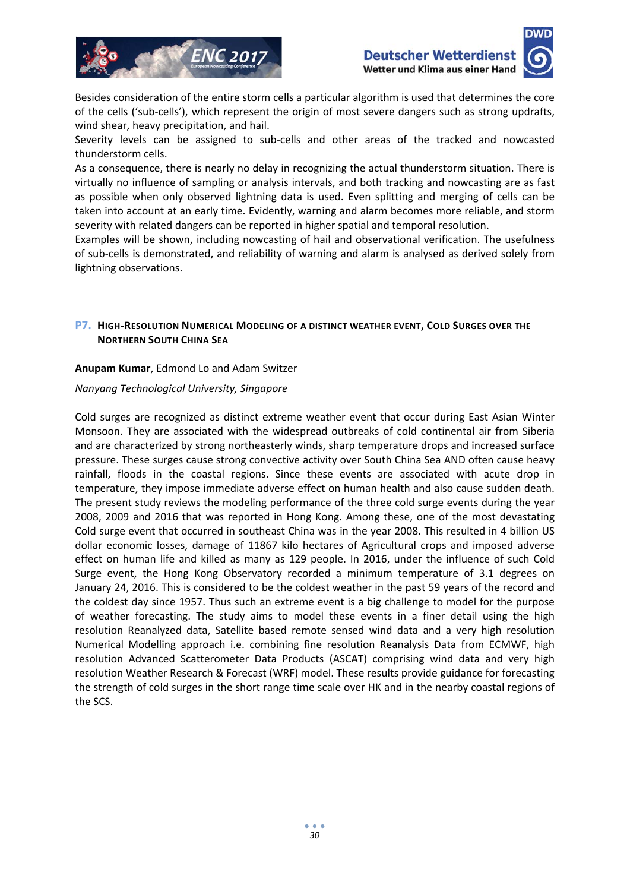



Besides consideration of the entire storm cells a particular algorithm is used that determines the core of the cells ('sub‐cells'), which represent the origin of most severe dangers such as strong updrafts, wind shear, heavy precipitation, and hail.

Severity levels can be assigned to sub‐cells and other areas of the tracked and nowcasted thunderstorm cells.

As a consequence, there is nearly no delay in recognizing the actual thunderstorm situation. There is virtually no influence of sampling or analysis intervals, and both tracking and nowcasting are as fast as possible when only observed lightning data is used. Even splitting and merging of cells can be taken into account at an early time. Evidently, warning and alarm becomes more reliable, and storm severity with related dangers can be reported in higher spatial and temporal resolution.

Examples will be shown, including nowcasting of hail and observational verification. The usefulness of sub‐cells is demonstrated, and reliability of warning and alarm is analysed as derived solely from lightning observations.

### **P7. HIGH‐RESOLUTION NUMERICAL MODELING OF A DISTINCT WEATHER EVENT, COLD SURGES OVER THE NORTHERN SOUTH CHINA SEA**

#### **Anupam Kumar**, Edmond Lo and Adam Switzer

#### *Nanyang Technological University, Singapore*

Cold surges are recognized as distinct extreme weather event that occur during East Asian Winter Monsoon. They are associated with the widespread outbreaks of cold continental air from Siberia and are characterized by strong northeasterly winds, sharp temperature drops and increased surface pressure. These surges cause strong convective activity over South China Sea AND often cause heavy rainfall, floods in the coastal regions. Since these events are associated with acute drop in temperature, they impose immediate adverse effect on human health and also cause sudden death. The present study reviews the modeling performance of the three cold surge events during the year 2008, 2009 and 2016 that was reported in Hong Kong. Among these, one of the most devastating Cold surge event that occurred in southeast China was in the year 2008. This resulted in 4 billion US dollar economic losses, damage of 11867 kilo hectares of Agricultural crops and imposed adverse effect on human life and killed as many as 129 people. In 2016, under the influence of such Cold Surge event, the Hong Kong Observatory recorded a minimum temperature of 3.1 degrees on January 24, 2016. This is considered to be the coldest weather in the past 59 years of the record and the coldest day since 1957. Thus such an extreme event is a big challenge to model for the purpose of weather forecasting. The study aims to model these events in a finer detail using the high resolution Reanalyzed data, Satellite based remote sensed wind data and a very high resolution Numerical Modelling approach i.e. combining fine resolution Reanalysis Data from ECMWF, high resolution Advanced Scatterometer Data Products (ASCAT) comprising wind data and very high resolution Weather Research & Forecast (WRF) model. These results provide guidance for forecasting the strength of cold surges in the short range time scale over HK and in the nearby coastal regions of the SCS.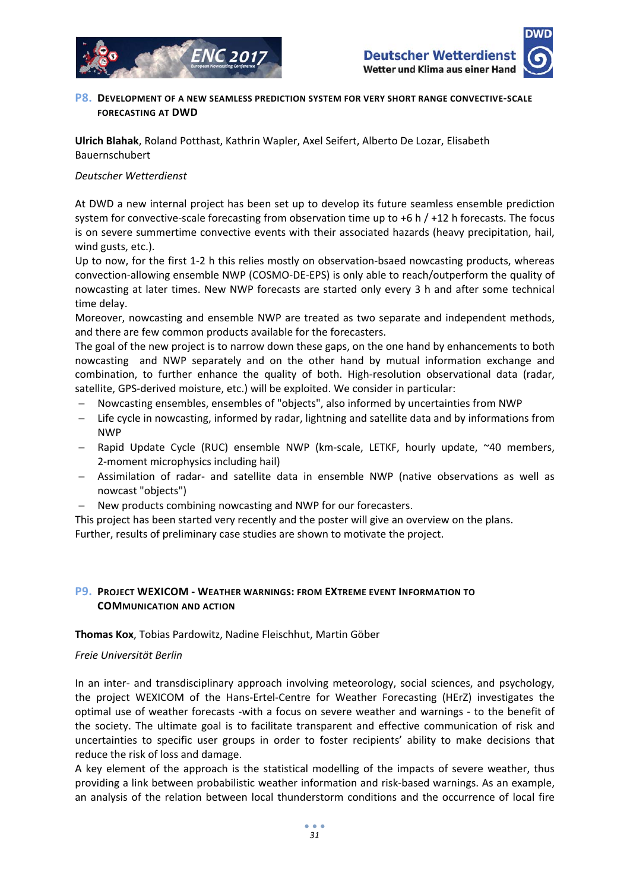

#### **P8. DEVELOPMENT OF A NEW SEAMLESS PREDICTION SYSTEM FOR VERY SHORT RANGE CONVECTIVE‐SCALE FORECASTING AT DWD**

**Ulrich Blahak**, Roland Potthast, Kathrin Wapler, Axel Seifert, Alberto De Lozar, Elisabeth Bauernschubert

#### *Deutscher Wetterdienst*

At DWD a new internal project has been set up to develop its future seamless ensemble prediction system for convective-scale forecasting from observation time up to  $+6$  h  $/ +12$  h forecasts. The focus is on severe summertime convective events with their associated hazards (heavy precipitation, hail, wind gusts, etc.).

Up to now, for the first 1-2 h this relies mostly on observation-bsaed nowcasting products, whereas convection‐allowing ensemble NWP (COSMO‐DE‐EPS) is only able to reach/outperform the quality of nowcasting at later times. New NWP forecasts are started only every 3 h and after some technical time delay.

Moreover, nowcasting and ensemble NWP are treated as two separate and independent methods, and there are few common products available for the forecasters.

The goal of the new project is to narrow down these gaps, on the one hand by enhancements to both nowcasting and NWP separately and on the other hand by mutual information exchange and combination, to further enhance the quality of both. High-resolution observational data (radar, satellite, GPS‐derived moisture, etc.) will be exploited. We consider in particular:

- Nowcasting ensembles, ensembles of "objects", also informed by uncertainties from NWP
- Life cycle in nowcasting, informed by radar, lightning and satellite data and by informations from NWP
- Rapid Update Cycle (RUC) ensemble NWP (km‐scale, LETKF, hourly update, ~40 members, 2‐moment microphysics including hail)
- Assimilation of radar‐ and satellite data in ensemble NWP (native observations as well as nowcast "objects")
- New products combining nowcasting and NWP for our forecasters.

This project has been started very recently and the poster will give an overview on the plans. Further, results of preliminary case studies are shown to motivate the project.

#### **P9. PROJECT WEXICOM ‐ WEATHER WARNINGS: FROM EXTREME EVENT INFORMATION TO COMMUNICATION AND ACTION**

#### **Thomas Kox**, Tobias Pardowitz, Nadine Fleischhut, Martin Göber

#### *Freie Universität Berlin*

In an inter- and transdisciplinary approach involving meteorology, social sciences, and psychology, the project WEXICOM of the Hans‐Ertel‐Centre for Weather Forecasting (HErZ) investigates the optimal use of weather forecasts -with a focus on severe weather and warnings - to the benefit of the society. The ultimate goal is to facilitate transparent and effective communication of risk and uncertainties to specific user groups in order to foster recipients' ability to make decisions that reduce the risk of loss and damage.

A key element of the approach is the statistical modelling of the impacts of severe weather, thus providing a link between probabilistic weather information and risk‐based warnings. As an example, an analysis of the relation between local thunderstorm conditions and the occurrence of local fire